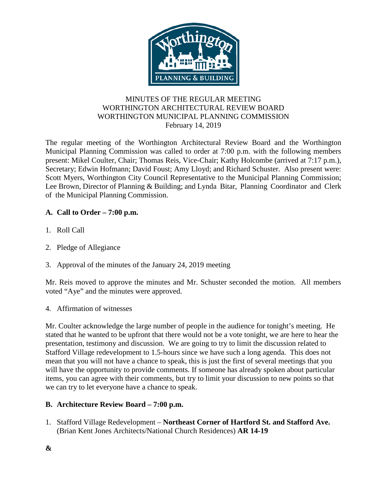

## MINUTES OF THE REGULAR MEETING WORTHINGTON ARCHITECTURAL REVIEW BOARD WORTHINGTON MUNICIPAL PLANNING COMMISSION February 14, 2019

The regular meeting of the Worthington Architectural Review Board and the Worthington Municipal Planning Commission was called to order at 7:00 p.m. with the following members present: Mikel Coulter, Chair; Thomas Reis, Vice-Chair; Kathy Holcombe (arrived at 7:17 p.m.), Secretary; Edwin Hofmann; David Foust; Amy Lloyd; and Richard Schuster. Also present were: Scott Myers, Worthington City Council Representative to the Municipal Planning Commission; Lee Brown, Director of Planning & Building; and Lynda Bitar, Planning Coordinator and Clerk of the Municipal Planning Commission.

# **A. Call to Order – 7:00 p.m.**

- 1. Roll Call
- 2. Pledge of Allegiance
- 3. Approval of the minutes of the January 24, 2019 meeting

Mr. Reis moved to approve the minutes and Mr. Schuster seconded the motion. All members voted "Aye" and the minutes were approved.

## 4. Affirmation of witnesses

Mr. Coulter acknowledge the large number of people in the audience for tonight's meeting. He stated that he wanted to be upfront that there would not be a vote tonight, we are here to hear the presentation, testimony and discussion. We are going to try to limit the discussion related to Stafford Village redevelopment to 1.5-hours since we have such a long agenda. This does not mean that you will not have a chance to speak, this is just the first of several meetings that you will have the opportunity to provide comments. If someone has already spoken about particular items, you can agree with their comments, but try to limit your discussion to new points so that we can try to let everyone have a chance to speak.

## **B. Architecture Review Board – 7:00 p.m.**

1. Stafford Village Redevelopment – **Northeast Corner of Hartford St. and Stafford Ave.**  (Brian Kent Jones Architects/National Church Residences) **AR 14-19**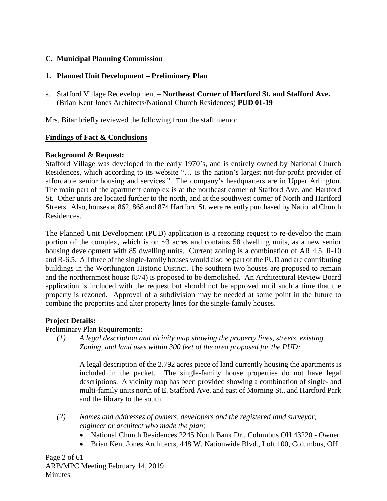# **C. Municipal Planning Commission**

# **1. Planned Unit Development – Preliminary Plan**

a. Stafford Village Redevelopment – **Northeast Corner of Hartford St. and Stafford Ave.**  (Brian Kent Jones Architects/National Church Residences) **PUD 01-19**

Mrs. Bitar briefly reviewed the following from the staff memo:

# **Findings of Fact & Conclusions**

## **Background & Request:**

Stafford Village was developed in the early 1970's, and is entirely owned by National Church Residences, which according to its website "… is the nation's largest not-for-profit provider of affordable senior housing and services." The company's headquarters are in Upper Arlington. The main part of the apartment complex is at the northeast corner of Stafford Ave. and Hartford St. Other units are located further to the north, and at the southwest corner of North and Hartford Streets. Also, houses at 862, 868 and 874 Hartford St. were recently purchased by National Church Residences.

The Planned Unit Development (PUD) application is a rezoning request to re-develop the main portion of the complex, which is on  $\sim$ 3 acres and contains 58 dwelling units, as a new senior housing development with 85 dwelling units. Current zoning is a combination of AR 4.5, R-10 and R-6.5. All three of the single-family houses would also be part of the PUD and are contributing buildings in the Worthington Historic District. The southern two houses are proposed to remain and the northernmost house (874) is proposed to be demolished. An Architectural Review Board application is included with the request but should not be approved until such a time that the property is rezoned. Approval of a subdivision may be needed at some point in the future to combine the properties and alter property lines for the single-family houses.

# **Project Details:**

Preliminary Plan Requirements:

*(1) A legal description and vicinity map showing the property lines, streets, existing Zoning, and land uses within 300 feet of the area proposed for the PUD;*

A legal description of the 2.792 acres piece of land currently housing the apartments is included in the packet. The single-family house properties do not have legal descriptions. A vicinity map has been provided showing a combination of single- and multi-family units north of E. Stafford Ave. and east of Morning St., and Hartford Park and the library to the south.

- *(2) Names and addresses of owners, developers and the registered land surveyor, engineer or architect who made the plan;*
	- National Church Residences 2245 North Bank Dr., Columbus OH 43220 Owner
	- Brian Kent Jones Architects, 448 W. Nationwide Blvd., Loft 100, Columbus, OH

Page 2 of 61 ARB/MPC Meeting February 14, 2019 **Minutes**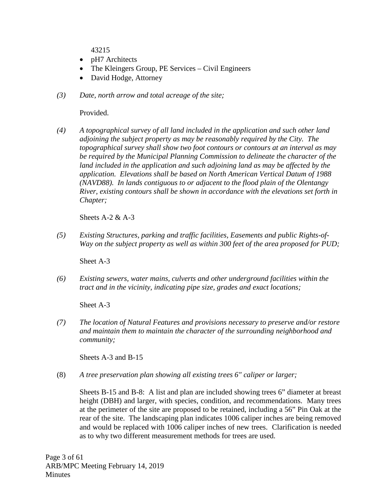43215

- pH7 Architects
- The Kleingers Group, PE Services Civil Engineers
- David Hodge, Attorney
- *(3) Date, north arrow and total acreage of the site;*

Provided.

*(4) A topographical survey of all land included in the application and such other land adjoining the subject property as may be reasonably required by the City. The topographical survey shall show two foot contours or contours at an interval as may be required by the Municipal Planning Commission to delineate the character of the land included in the application and such adjoining land as may be affected by the application. Elevations shall be based on North American Vertical Datum of 1988 (NAVD88). In lands contiguous to or adjacent to the flood plain of the Olentangy River, existing contours shall be shown in accordance with the elevations set forth in Chapter;*

Sheets  $A-2 & A-3$ 

*(5) Existing Structures, parking and traffic facilities, Easements and public Rights-of-Way on the subject property as well as within 300 feet of the area proposed for PUD;*

Sheet A-3

*(6) Existing sewers, water mains, culverts and other underground facilities within the tract and in the vicinity, indicating pipe size, grades and exact locations;*

Sheet A-3

*(7) The location of Natural Features and provisions necessary to preserve and/or restore and maintain them to maintain the character of the surrounding neighborhood and community;*

Sheets A-3 and B-15

(8) *A tree preservation plan showing all existing trees 6" caliper or larger;*

Sheets B-15 and B-8: A list and plan are included showing trees 6" diameter at breast height (DBH) and larger, with species, condition, and recommendations. Many trees at the perimeter of the site are proposed to be retained, including a 56" Pin Oak at the rear of the site. The landscaping plan indicates 1006 caliper inches are being removed and would be replaced with 1006 caliper inches of new trees. Clarification is needed as to why two different measurement methods for trees are used.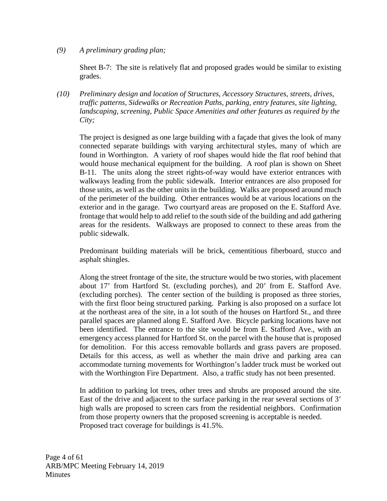## *(9) A preliminary grading plan;*

Sheet B-7: The site is relatively flat and proposed grades would be similar to existing grades.

*(10) Preliminary design and location of Structures, Accessory Structures, streets, drives, traffic patterns, Sidewalks or Recreation Paths, parking, entry features, site lighting, landscaping, screening, Public Space Amenities and other features as required by the City;*

The project is designed as one large building with a façade that gives the look of many connected separate buildings with varying architectural styles, many of which are found in Worthington. A variety of roof shapes would hide the flat roof behind that would house mechanical equipment for the building. A roof plan is shown on Sheet B-11. The units along the street rights-of-way would have exterior entrances with walkways leading from the public sidewalk. Interior entrances are also proposed for those units, as well as the other units in the building. Walks are proposed around much of the perimeter of the building. Other entrances would be at various locations on the exterior and in the garage. Two courtyard areas are proposed on the E. Stafford Ave. frontage that would help to add relief to the south side of the building and add gathering areas for the residents. Walkways are proposed to connect to these areas from the public sidewalk.

Predominant building materials will be brick, cementitious fiberboard, stucco and asphalt shingles.

Along the street frontage of the site, the structure would be two stories, with placement about 17' from Hartford St. (excluding porches), and 20' from E. Stafford Ave. (excluding porches). The center section of the building is proposed as three stories, with the first floor being structured parking. Parking is also proposed on a surface lot at the northeast area of the site, in a lot south of the houses on Hartford St., and three parallel spaces are planned along E. Stafford Ave. Bicycle parking locations have not been identified. The entrance to the site would be from E. Stafford Ave., with an emergency access planned for Hartford St. on the parcel with the house that is proposed for demolition. For this access removable bollards and grass pavers are proposed. Details for this access, as well as whether the main drive and parking area can accommodate turning movements for Worthington's ladder truck must be worked out with the Worthington Fire Department. Also, a traffic study has not been presented.

In addition to parking lot trees, other trees and shrubs are proposed around the site. East of the drive and adjacent to the surface parking in the rear several sections of 3' high walls are proposed to screen cars from the residential neighbors. Confirmation from those property owners that the proposed screening is acceptable is needed. Proposed tract coverage for buildings is 41.5%.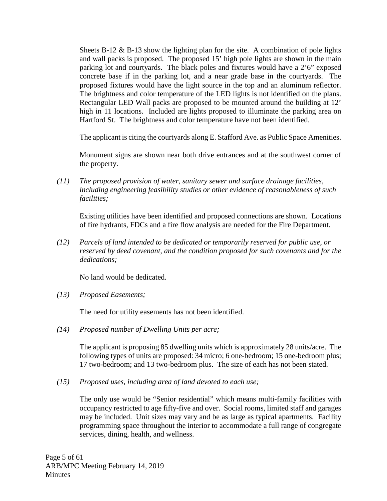Sheets B-12  $\&$  B-13 show the lighting plan for the site. A combination of pole lights and wall packs is proposed. The proposed 15' high pole lights are shown in the main parking lot and courtyards. The black poles and fixtures would have a 2'6" exposed concrete base if in the parking lot, and a near grade base in the courtyards. The proposed fixtures would have the light source in the top and an aluminum reflector. The brightness and color temperature of the LED lights is not identified on the plans. Rectangular LED Wall packs are proposed to be mounted around the building at 12' high in 11 locations. Included are lights proposed to illuminate the parking area on Hartford St. The brightness and color temperature have not been identified.

The applicant is citing the courtyards along E. Stafford Ave. as Public Space Amenities.

Monument signs are shown near both drive entrances and at the southwest corner of the property.

*(11) The proposed provision of water, sanitary sewer and surface drainage facilities, including engineering feasibility studies or other evidence of reasonableness of such facilities;*

Existing utilities have been identified and proposed connections are shown. Locations of fire hydrants, FDCs and a fire flow analysis are needed for the Fire Department.

*(12) Parcels of land intended to be dedicated or temporarily reserved for public use, or reserved by deed covenant, and the condition proposed for such covenants and for the dedications;*

No land would be dedicated.

*(13) Proposed Easements;* 

The need for utility easements has not been identified.

*(14) Proposed number of Dwelling Units per acre;*

The applicant is proposing 85 dwelling units which is approximately 28 units/acre. The following types of units are proposed: 34 micro; 6 one-bedroom; 15 one-bedroom plus; 17 two-bedroom; and 13 two-bedroom plus. The size of each has not been stated.

*(15) Proposed uses, including area of land devoted to each use;*

The only use would be "Senior residential" which means multi-family facilities with occupancy restricted to age fifty-five and over. Social rooms, limited staff and garages may be included. Unit sizes may vary and be as large as typical apartments. Facility programming space throughout the interior to accommodate a full range of congregate services, dining, health, and wellness.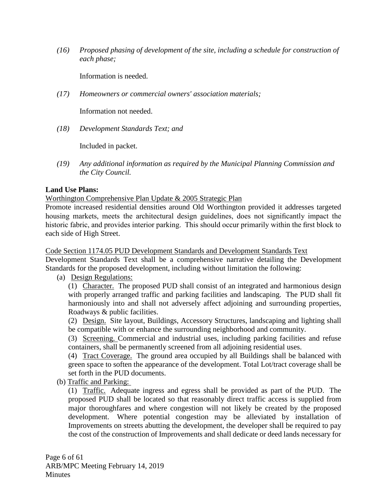*(16) Proposed phasing of development of the site, including a schedule for construction of each phase;* 

Information is needed.

*(17) Homeowners or commercial owners' association materials;* 

Information not needed.

*(18) Development Standards Text; and*

Included in packet.

*(19) Any additional information as required by the Municipal Planning Commission and the City Council.*

### **Land Use Plans:**

Worthington Comprehensive Plan Update & 2005 Strategic Plan

Promote increased residential densities around Old Worthington provided it addresses targeted housing markets, meets the architectural design guidelines, does not significantly impact the historic fabric, and provides interior parking. This should occur primarily within the first block to each side of High Street.

Code Section 1174.05 PUD Development Standards and Development Standards Text

Development Standards Text shall be a comprehensive narrative detailing the Development Standards for the proposed development, including without limitation the following:

(a) Design Regulations:

(1) Character. The proposed PUD shall consist of an integrated and harmonious design with properly arranged traffic and parking facilities and landscaping. The PUD shall fit harmoniously into and shall not adversely affect adjoining and surrounding properties, Roadways & public facilities.

(2) Design. Site layout, Buildings, Accessory Structures, landscaping and lighting shall be compatible with or enhance the surrounding neighborhood and community.

(3) Screening. Commercial and industrial uses, including parking facilities and refuse containers, shall be permanently screened from all adjoining residential uses.

(4) Tract Coverage. The ground area occupied by all Buildings shall be balanced with green space to soften the appearance of the development. Total Lot/tract coverage shall be set forth in the PUD documents.

(b) Traffic and Parking:

(1) Traffic. Adequate ingress and egress shall be provided as part of the PUD. The proposed PUD shall be located so that reasonably direct traffic access is supplied from major thoroughfares and where congestion will not likely be created by the proposed development. Where potential congestion may be alleviated by installation of Improvements on streets abutting the development, the developer shall be required to pay the cost of the construction of Improvements and shall dedicate or deed lands necessary for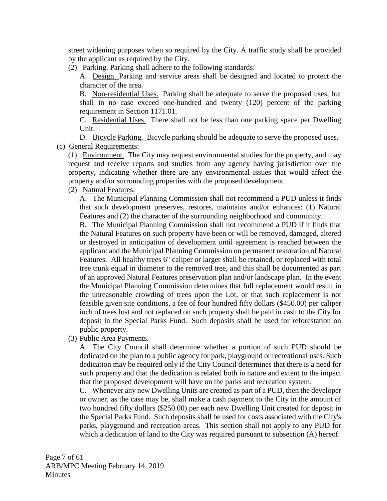street widening purposes when so required by the City. A traffic study shall be provided by the applicant as required by the City.

(2) Parking. Parking shall adhere to the following standards:

A. Design. Parking and service areas shall be designed and located to protect the character of the area.

B. Non-residential Uses. Parking shall be adequate to serve the proposed uses, but shall in no case exceed one-hundred and twenty (120) percent of the parking requirement in Section 1171.01.

C. Residential Uses. There shall not be less than one parking space per Dwelling Unit.

D. Bicycle Parking. Bicycle parking should be adequate to serve the proposed uses. (c) General Requirements:

(1) Environment. The City may request environmental studies for the property, and may request and receive reports and studies from any agency having jurisdiction over the property, indicating whether there are any environmental issues that would affect the property and/or surrounding properties with the proposed development.

(2) Natural Features.

A. The Municipal Planning Commission shall not recommend a PUD unless it finds that such development preserves, restores, maintains and/or enhances: (1) Natural Features and (2) the character of the surrounding neighborhood and community.

B. The Municipal Planning Commission shall not recommend a PUD if it finds that the Natural Features on such property have been or will be removed, damaged, altered or destroyed in anticipation of development until agreement is reached between the applicant and the Municipal Planning Commission on permanent restoration of Natural Features. All healthy trees 6" caliper or larger shall be retained, or replaced with total tree trunk equal in diameter to the removed tree, and this shall be documented as part of an approved Natural Features preservation plan and/or landscape plan. In the event the Municipal Planning Commission determines that full replacement would result in the unreasonable crowding of trees upon the Lot, or that such replacement is not feasible given site conditions, a fee of four hundred fifty dollars (\$450.00) per caliper inch of trees lost and not replaced on such property shall be paid in cash to the City for deposit in the Special Parks Fund. Such deposits shall be used for reforestation on public property.

(3) Public Area Payments.

A. The City Council shall determine whether a portion of such PUD should be dedicated on the plan to a public agency for park, playground or recreational uses. Such dedication may be required only if the City Council determines that there is a need for such property and that the dedication is related both in nature and extent to the impact that the proposed development will have on the parks and recreation system.

C. Whenever any new Dwelling Units are created as part of a PUD, then the developer or owner, as the case may be, shall make a cash payment to the City in the amount of two hundred fifty dollars (\$250.00) per each new Dwelling Unit created for deposit in the Special Parks Fund. Such deposits shall be used for costs associated with the City's parks, playground and recreation areas. This section shall not apply to any PUD for which a dedication of land to the City was required pursuant to subsection (A) hereof.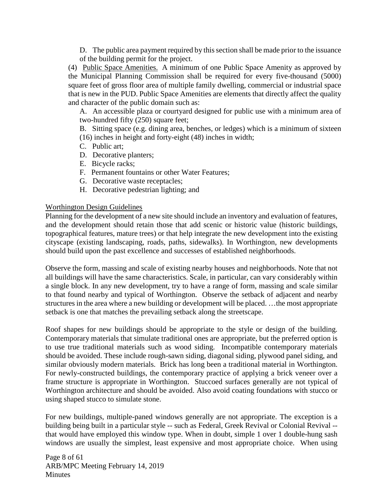D. The public area payment required by this section shall be made prior to the issuance of the building permit for the project.

(4) Public Space Amenities. A minimum of one Public Space Amenity as approved by the Municipal Planning Commission shall be required for every five-thousand (5000) square feet of gross floor area of multiple family dwelling, commercial or industrial space that is new in the PUD. Public Space Amenities are elements that directly affect the quality and character of the public domain such as:

A. An accessible plaza or courtyard designed for public use with a minimum area of two-hundred fifty (250) square feet;

B. Sitting space (e.g. dining area, benches, or ledges) which is a minimum of sixteen (16) inches in height and forty-eight (48) inches in width;

- C. Public art;
- D. Decorative planters;
- E. Bicycle racks;
- F. Permanent fountains or other Water Features;
- G. Decorative waste receptacles;
- H. Decorative pedestrian lighting; and

#### Worthington Design Guidelines

Planning for the development of a new site should include an inventory and evaluation of features, and the development should retain those that add scenic or historic value (historic buildings, topographical features, mature trees) or that help integrate the new development into the existing cityscape (existing landscaping, roads, paths, sidewalks). In Worthington, new developments should build upon the past excellence and successes of established neighborhoods.

Observe the form, massing and scale of existing nearby houses and neighborhoods. Note that not all buildings will have the same characteristics. Scale, in particular, can vary considerably within a single block. In any new development, try to have a range of form, massing and scale similar to that found nearby and typical of Worthington. Observe the setback of adjacent and nearby structures in the area where a new building or development will be placed. …the most appropriate setback is one that matches the prevailing setback along the streetscape.

Roof shapes for new buildings should be appropriate to the style or design of the building. Contemporary materials that simulate traditional ones are appropriate, but the preferred option is to use true traditional materials such as wood siding. Incompatible contemporary materials should be avoided. These include rough-sawn siding, diagonal siding, plywood panel siding, and similar obviously modern materials. Brick has long been a traditional material in Worthington. For newly-constructed buildings, the contemporary practice of applying a brick veneer over a frame structure is appropriate in Worthington. Stuccoed surfaces generally are not typical of Worthington architecture and should be avoided. Also avoid coating foundations with stucco or using shaped stucco to simulate stone.

For new buildings, multiple-paned windows generally are not appropriate. The exception is a building being built in a particular style -- such as Federal, Greek Revival or Colonial Revival - that would have employed this window type. When in doubt, simple 1 over 1 double-hung sash windows are usually the simplest, least expensive and most appropriate choice. When using

Page 8 of 61 ARB/MPC Meeting February 14, 2019 **Minutes**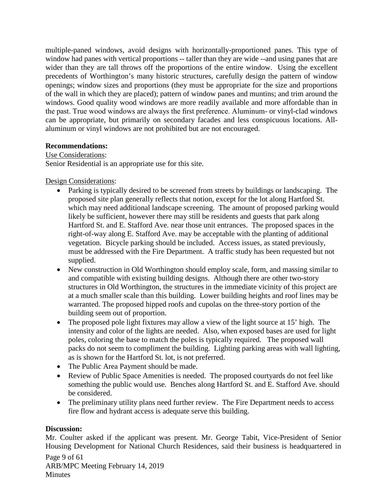multiple-paned windows, avoid designs with horizontally-proportioned panes. This type of window had panes with vertical proportions -- taller than they are wide --and using panes that are wider than they are tall throws off the proportions of the entire window. Using the excellent precedents of Worthington's many historic structures, carefully design the pattern of window openings; window sizes and proportions (they must be appropriate for the size and proportions of the wall in which they are placed); pattern of window panes and muntins; and trim around the windows. Good quality wood windows are more readily available and more affordable than in the past. True wood windows are always the first preference. Aluminum- or vinyl-clad windows can be appropriate, but primarily on secondary facades and less conspicuous locations. Allaluminum or vinyl windows are not prohibited but are not encouraged.

### **Recommendations:**

#### Use Considerations:

Senior Residential is an appropriate use for this site.

Design Considerations:

- Parking is typically desired to be screened from streets by buildings or landscaping. The proposed site plan generally reflects that notion, except for the lot along Hartford St. which may need additional landscape screening. The amount of proposed parking would likely be sufficient, however there may still be residents and guests that park along Hartford St. and E. Stafford Ave. near those unit entrances. The proposed spaces in the right-of-way along E. Stafford Ave. may be acceptable with the planting of additional vegetation. Bicycle parking should be included. Access issues, as stated previously, must be addressed with the Fire Department. A traffic study has been requested but not supplied.
- New construction in Old Worthington should employ scale, form, and massing similar to and compatible with existing building designs. Although there are other two-story structures in Old Worthington, the structures in the immediate vicinity of this project are at a much smaller scale than this building. Lower building heights and roof lines may be warranted. The proposed hipped roofs and cupolas on the three-story portion of the building seem out of proportion.
- The proposed pole light fixtures may allow a view of the light source at 15' high. The intensity and color of the lights are needed. Also, when exposed bases are used for light poles, coloring the base to match the poles is typically required. The proposed wall packs do not seem to compliment the building. Lighting parking areas with wall lighting, as is shown for the Hartford St. lot, is not preferred.
- The Public Area Payment should be made.
- Review of Public Space Amenities is needed. The proposed courtyards do not feel like something the public would use. Benches along Hartford St. and E. Stafford Ave. should be considered.
- The preliminary utility plans need further review. The Fire Department needs to access fire flow and hydrant access is adequate serve this building.

#### **Discussion:**

Mr. Coulter asked if the applicant was present. Mr. George Tabit, Vice-President of Senior Housing Development for National Church Residences, said their business is headquartered in

Page 9 of 61 ARB/MPC Meeting February 14, 2019 **Minutes**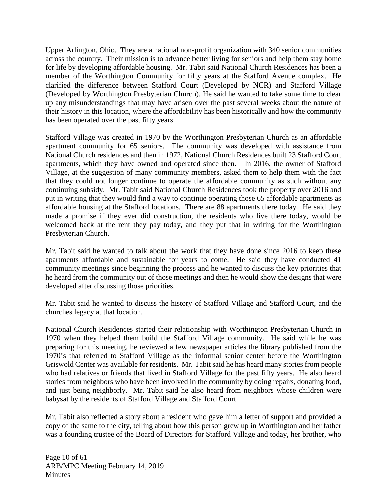Upper Arlington, Ohio. They are a national non-profit organization with 340 senior communities across the country. Their mission is to advance better living for seniors and help them stay home for life by developing affordable housing. Mr. Tabit said National Church Residences has been a member of the Worthington Community for fifty years at the Stafford Avenue complex. He clarified the difference between Stafford Court (Developed by NCR) and Stafford Village (Developed by Worthington Presbyterian Church). He said he wanted to take some time to clear up any misunderstandings that may have arisen over the past several weeks about the nature of their history in this location, where the affordability has been historically and how the community has been operated over the past fifty years.

Stafford Village was created in 1970 by the Worthington Presbyterian Church as an affordable apartment community for 65 seniors. The community was developed with assistance from National Church residences and then in 1972, National Church Residences built 23 Stafford Court apartments, which they have owned and operated since then. In 2016, the owner of Stafford Village, at the suggestion of many community members, asked them to help them with the fact that they could not longer continue to operate the affordable community as such without any continuing subsidy. Mr. Tabit said National Church Residences took the property over 2016 and put in writing that they would find a way to continue operating those 65 affordable apartments as affordable housing at the Stafford locations. There are 88 apartments there today. He said they made a promise if they ever did construction, the residents who live there today, would be welcomed back at the rent they pay today, and they put that in writing for the Worthington Presbyterian Church.

Mr. Tabit said he wanted to talk about the work that they have done since 2016 to keep these apartments affordable and sustainable for years to come. He said they have conducted 41 community meetings since beginning the process and he wanted to discuss the key priorities that he heard from the community out of those meetings and then he would show the designs that were developed after discussing those priorities.

Mr. Tabit said he wanted to discuss the history of Stafford Village and Stafford Court, and the churches legacy at that location.

National Church Residences started their relationship with Worthington Presbyterian Church in 1970 when they helped them build the Stafford Village community. He said while he was preparing for this meeting, he reviewed a few newspaper articles the library published from the 1970's that referred to Stafford Village as the informal senior center before the Worthington Griswold Center was available for residents. Mr. Tabit said he has heard many stories from people who had relatives or friends that lived in Stafford Village for the past fifty years. He also heard stories from neighbors who have been involved in the community by doing repairs, donating food, and just being neighborly. Mr. Tabit said he also heard from neighbors whose children were babysat by the residents of Stafford Village and Stafford Court.

Mr. Tabit also reflected a story about a resident who gave him a letter of support and provided a copy of the same to the city, telling about how this person grew up in Worthington and her father was a founding trustee of the Board of Directors for Stafford Village and today, her brother, who

Page 10 of 61 ARB/MPC Meeting February 14, 2019 **Minutes**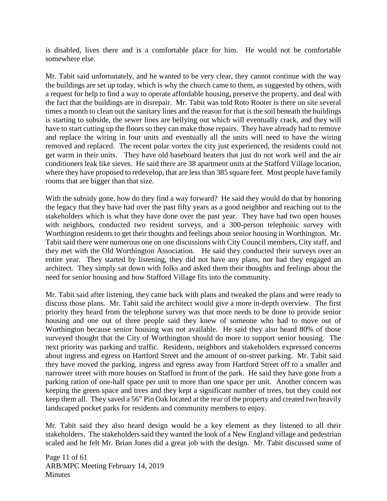is disabled, lives there and is a comfortable place for him. He would not be comfortable somewhere else.

Mr. Tabit said unfortunately, and he wanted to be very clear, they cannot continue with the way the buildings are set up today, which is why the church came to them, as suggested by others, with a request for help to find a way to operate affordable housing, preserve the property, and deal with the fact that the buildings are in disrepair. Mr. Tabit was told Roto Rooter is there on site several times a month to clean out the sanitary lines and the reason for that is the soil beneath the buildings is starting to subside, the sewer lines are bellying out which will eventually crack, and they will have to start cutting up the floors so they can make those repairs. They have already had to remove and replace the wiring in four units and eventually all the units will need to have the wiring removed and replaced. The recent polar vortex the city just experienced, the residents could not get warm in their units. They have old baseboard heaters that just do not work well and the air conditioners leak like sieves. He said there are 38 apartment units at the Stafford Village location, where they have proposed to redevelop, that are less than 385 square feet. Most people have family rooms that are bigger than that size.

With the subsidy gone, how do they find a way forward? He said they would do that by honoring the legacy that they have had over the past fifty years as a good neighbor and reaching out to the stakeholders which is what they have done over the past year. They have had two open houses with neighbors, conducted two resident surveys, and a 300-person telephonic survey with Worthington residents to get their thoughts and feelings about senior housing in Worthington. Mr. Tabit said there were numerous one on one discussions with City Council members, City staff, and they met with the Old Worthington Association. He said they conducted their surveys over an entire year. They started by listening, they did not have any plans, nor had they engaged an architect. They simply sat down with folks and asked them their thoughts and feelings about the need for senior housing and how Stafford Village fits into the community.

Mr. Tabit said after listening, they came back with plans and tweaked the plans and were ready to discuss those plans. Mr. Tabit said the architect would give a more in-depth overview. The first priority they heard from the telephone survey was that more needs to be done to provide senior housing and one out of three people said they knew of someone who had to move out of Worthington because senior housing was not available. He said they also heard 80% of those surveyed thought that the City of Worthington should do more to support senior housing. The next priority was parking and traffic. Residents, neighbors and stakeholders expressed concerns about ingress and egress on Hartford Street and the amount of on-street parking. Mr. Tabit said they have moved the parking, ingress and egress away from Hartford Street off to a smaller and narrower street with more houses on Stafford in front of the park. He said they have gone from a parking ration of one-half space per unit to more than one space per unit. Another concern was keeping the green space and trees and they kept a significant number of trees, but they could not keep them all. They saved a 56" Pin Oak located at the rear of the property and created two heavily landscaped pocket parks for residents and community members to enjoy.

Mr. Tabit said they also heard design would be a key element as they listened to all their stakeholders. The stakeholders said they wanted the look of a New England village and pedestrian scaled and he felt Mr. Brian Jones did a great job with the design. Mr. Tabit discussed some of

Page 11 of 61 ARB/MPC Meeting February 14, 2019 **Minutes**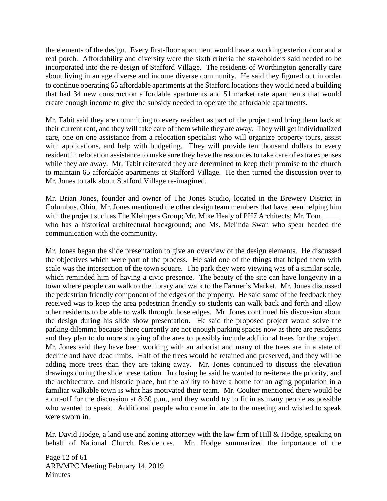the elements of the design. Every first-floor apartment would have a working exterior door and a real porch. Affordability and diversity were the sixth criteria the stakeholders said needed to be incorporated into the re-design of Stafford Village. The residents of Worthington generally care about living in an age diverse and income diverse community. He said they figured out in order to continue operating 65 affordable apartments at the Stafford locations they would need a building that had 34 new construction affordable apartments and 51 market rate apartments that would create enough income to give the subsidy needed to operate the affordable apartments.

Mr. Tabit said they are committing to every resident as part of the project and bring them back at their current rent, and they will take care of them while they are away. They will get individualized care, one on one assistance from a relocation specialist who will organize property tours, assist with applications, and help with budgeting. They will provide ten thousand dollars to every resident in relocation assistance to make sure they have the resources to take care of extra expenses while they are away. Mr. Tabit reiterated they are determined to keep their promise to the church to maintain 65 affordable apartments at Stafford Village. He then turned the discussion over to Mr. Jones to talk about Stafford Village re-imagined.

Mr. Brian Jones, founder and owner of The Jones Studio, located in the Brewery District in Columbus, Ohio. Mr. Jones mentioned the other design team members that have been helping him with the project such as The Kleingers Group; Mr. Mike Healy of PH7 Architects; Mr. Tom who has a historical architectural background; and Ms. Melinda Swan who spear headed the communication with the community.

Mr. Jones began the slide presentation to give an overview of the design elements. He discussed the objectives which were part of the process. He said one of the things that helped them with scale was the intersection of the town square. The park they were viewing was of a similar scale, which reminded him of having a civic presence. The beauty of the site can have longevity in a town where people can walk to the library and walk to the Farmer's Market. Mr. Jones discussed the pedestrian friendly component of the edges of the property. He said some of the feedback they received was to keep the area pedestrian friendly so students can walk back and forth and allow other residents to be able to walk through those edges. Mr. Jones continued his discussion about the design during his slide show presentation. He said the proposed project would solve the parking dilemma because there currently are not enough parking spaces now as there are residents and they plan to do more studying of the area to possibly include additional trees for the project. Mr. Jones said they have been working with an arborist and many of the trees are in a state of decline and have dead limbs. Half of the trees would be retained and preserved, and they will be adding more trees than they are taking away. Mr. Jones continued to discuss the elevation drawings during the slide presentation. In closing he said he wanted to re-iterate the priority, and the architecture, and historic place, but the ability to have a home for an aging population in a familiar walkable town is what has motivated their team. Mr. Coulter mentioned there would be a cut-off for the discussion at 8:30 p.m., and they would try to fit in as many people as possible who wanted to speak. Additional people who came in late to the meeting and wished to speak were sworn in.

Mr. David Hodge, a land use and zoning attorney with the law firm of Hill & Hodge, speaking on behalf of National Church Residences. Mr. Hodge summarized the importance of the

Page 12 of 61 ARB/MPC Meeting February 14, 2019 **Minutes**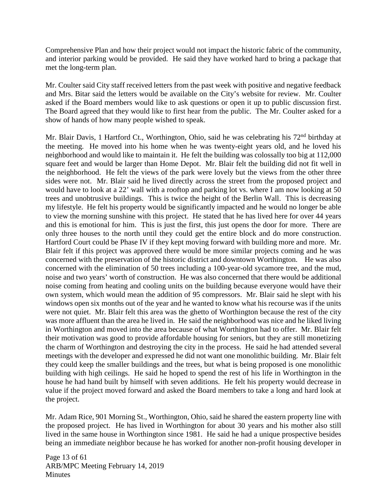Comprehensive Plan and how their project would not impact the historic fabric of the community, and interior parking would be provided. He said they have worked hard to bring a package that met the long-term plan.

Mr. Coulter said City staff received letters from the past week with positive and negative feedback and Mrs. Bitar said the letters would be available on the City's website for review. Mr. Coulter asked if the Board members would like to ask questions or open it up to public discussion first. The Board agreed that they would like to first hear from the public. The Mr. Coulter asked for a show of hands of how many people wished to speak.

Mr. Blair Davis, 1 Hartford Ct., Worthington, Ohio, said he was celebrating his 72<sup>nd</sup> birthday at the meeting. He moved into his home when he was twenty-eight years old, and he loved his neighborhood and would like to maintain it. He felt the building was colossally too big at 112,000 square feet and would be larger than Home Depot. Mr. Blair felt the building did not fit well in the neighborhood. He felt the views of the park were lovely but the views from the other three sides were not. Mr. Blair said he lived directly across the street from the proposed project and would have to look at a 22' wall with a rooftop and parking lot vs. where I am now looking at 50 trees and unobtrusive buildings. This is twice the height of the Berlin Wall. This is decreasing my lifestyle. He felt his property would be significantly impacted and he would no longer be able to view the morning sunshine with this project. He stated that he has lived here for over 44 years and this is emotional for him. This is just the first, this just opens the door for more. There are only three houses to the north until they could get the entire block and do more construction. Hartford Court could be Phase IV if they kept moving forward with building more and more. Mr. Blair felt if this project was approved there would be more similar projects coming and he was concerned with the preservation of the historic district and downtown Worthington. He was also concerned with the elimination of 50 trees including a 100-year-old sycamore tree, and the mud, noise and two years' worth of construction. He was also concerned that there would be additional noise coming from heating and cooling units on the building because everyone would have their own system, which would mean the addition of 95 compressors. Mr. Blair said he slept with his windows open six months out of the year and he wanted to know what his recourse was if the units were not quiet. Mr. Blair felt this area was the ghetto of Worthington because the rest of the city was more affluent than the area he lived in. He said the neighborhood was nice and he liked living in Worthington and moved into the area because of what Worthington had to offer. Mr. Blair felt their motivation was good to provide affordable housing for seniors, but they are still monetizing the charm of Worthington and destroying the city in the process. He said he had attended several meetings with the developer and expressed he did not want one monolithic building. Mr. Blair felt they could keep the smaller buildings and the trees, but what is being proposed is one monolithic building with high ceilings. He said he hoped to spend the rest of his life in Worthington in the house he had hand built by himself with seven additions. He felt his property would decrease in value if the project moved forward and asked the Board members to take a long and hard look at the project.

Mr. Adam Rice, 901 Morning St., Worthington, Ohio, said he shared the eastern property line with the proposed project. He has lived in Worthington for about 30 years and his mother also still lived in the same house in Worthington since 1981. He said he had a unique prospective besides being an immediate neighbor because he has worked for another non-profit housing developer in

Page 13 of 61 ARB/MPC Meeting February 14, 2019 **Minutes**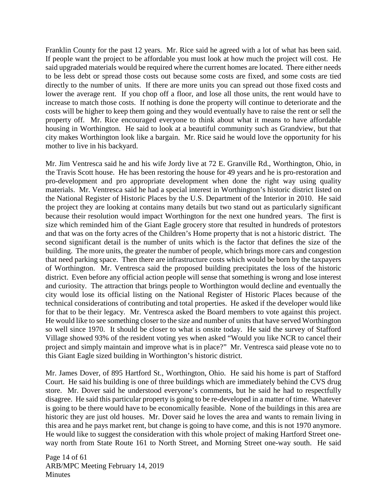Franklin County for the past 12 years. Mr. Rice said he agreed with a lot of what has been said. If people want the project to be affordable you must look at how much the project will cost. He said upgraded materials would be required where the current homes are located. There either needs to be less debt or spread those costs out because some costs are fixed, and some costs are tied directly to the number of units. If there are more units you can spread out those fixed costs and lower the average rent. If you chop off a floor, and lose all those units, the rent would have to increase to match those costs. If nothing is done the property will continue to deteriorate and the costs will be higher to keep them going and they would eventually have to raise the rent or sell the property off. Mr. Rice encouraged everyone to think about what it means to have affordable housing in Worthington. He said to look at a beautiful community such as Grandview, but that city makes Worthington look like a bargain. Mr. Rice said he would love the opportunity for his mother to live in his backyard.

Mr. Jim Ventresca said he and his wife Jordy live at 72 E. Granville Rd., Worthington, Ohio, in the Travis Scott house. He has been restoring the house for 49 years and he is pro-restoration and pro-development and pro appropriate development when done the right way using quality materials. Mr. Ventresca said he had a special interest in Worthington's historic district listed on the National Register of Historic Places by the U.S. Department of the Interior in 2010. He said the project they are looking at contains many details but two stand out as particularly significant because their resolution would impact Worthington for the next one hundred years. The first is size which reminded him of the Giant Eagle grocery store that resulted in hundreds of protestors and that was on the forty acres of the Children's Home property that is not a historic district. The second significant detail is the number of units which is the factor that defines the size of the building. The more units, the greater the number of people, which brings more cars and congestion that need parking space. Then there are infrastructure costs which would be born by the taxpayers of Worthington. Mr. Ventresca said the proposed building precipitates the loss of the historic district. Even before any official action people will sense that something is wrong and lose interest and curiosity. The attraction that brings people to Worthington would decline and eventually the city would lose its official listing on the National Register of Historic Places because of the technical considerations of contributing and total properties. He asked if the developer would like for that to be their legacy. Mr. Ventresca asked the Board members to vote against this project. He would like to see something closer to the size and number of units that have served Worthington so well since 1970. It should be closer to what is onsite today. He said the survey of Stafford Village showed 93% of the resident voting yes when asked "Would you like NCR to cancel their project and simply maintain and improve what is in place?" Mr. Ventresca said please vote no to this Giant Eagle sized building in Worthington's historic district.

Mr. James Dover, of 895 Hartford St., Worthington, Ohio. He said his home is part of Stafford Court. He said his building is one of three buildings which are immediately behind the CVS drug store. Mr. Dover said he understood everyone's comments, but he said he had to respectfully disagree. He said this particular property is going to be re-developed in a matter of time. Whatever is going to be there would have to be economically feasible. None of the buildings in this area are historic they are just old houses. Mr. Dover said he loves the area and wants to remain living in this area and he pays market rent, but change is going to have come, and this is not 1970 anymore. He would like to suggest the consideration with this whole project of making Hartford Street oneway north from State Route 161 to North Street, and Morning Street one-way south. He said

Page 14 of 61 ARB/MPC Meeting February 14, 2019 **Minutes**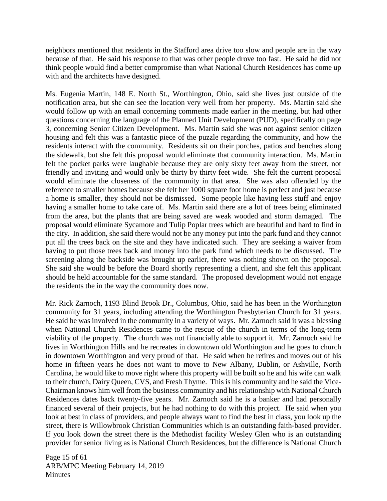neighbors mentioned that residents in the Stafford area drive too slow and people are in the way because of that. He said his response to that was other people drove too fast. He said he did not think people would find a better compromise than what National Church Residences has come up with and the architects have designed.

Ms. Eugenia Martin, 148 E. North St., Worthington, Ohio, said she lives just outside of the notification area, but she can see the location very well from her property. Ms. Martin said she would follow up with an email concerning comments made earlier in the meeting, but had other questions concerning the language of the Planned Unit Development (PUD), specifically on page 3, concerning Senior Citizen Development. Ms. Martin said she was not against senior citizen housing and felt this was a fantastic piece of the puzzle regarding the community, and how the residents interact with the community. Residents sit on their porches, patios and benches along the sidewalk, but she felt this proposal would eliminate that community interaction. Ms. Martin felt the pocket parks were laughable because they are only sixty feet away from the street, not friendly and inviting and would only be thirty by thirty feet wide. She felt the current proposal would eliminate the closeness of the community in that area. She was also offended by the reference to smaller homes because she felt her 1000 square foot home is perfect and just because a home is smaller, they should not be dismissed. Some people like having less stuff and enjoy having a smaller home to take care of. Ms. Martin said there are a lot of trees being eliminated from the area, but the plants that are being saved are weak wooded and storm damaged. The proposal would eliminate Sycamore and Tulip Poplar trees which are beautiful and hard to find in the city. In addition, she said there would not be any money put into the park fund and they cannot put all the trees back on the site and they have indicated such. They are seeking a waiver from having to put those trees back and money into the park fund which needs to be discussed. The screening along the backside was brought up earlier, there was nothing shown on the proposal. She said she would be before the Board shortly representing a client, and she felt this applicant should be held accountable for the same standard. The proposed development would not engage the residents the in the way the community does now.

Mr. Rick Zarnoch, 1193 Blind Brook Dr., Columbus, Ohio, said he has been in the Worthington community for 31 years, including attending the Worthington Presbyterian Church for 31 years. He said he was involved in the community in a variety of ways. Mr. Zarnoch said it was a blessing when National Church Residences came to the rescue of the church in terms of the long-term viability of the property. The church was not financially able to support it. Mr. Zarnoch said he lives in Worthington Hills and he recreates in downtown old Worthington and he goes to church in downtown Worthington and very proud of that. He said when he retires and moves out of his home in fifteen years he does not want to move to New Albany, Dublin, or Ashville, North Carolina, he would like to move right where this property will be built so he and his wife can walk to their church, Dairy Queen, CVS, and Fresh Thyme. This is his community and he said the Vice-Chairman knows him well from the business community and his relationship with National Church Residences dates back twenty-five years. Mr. Zarnoch said he is a banker and had personally financed several of their projects, but he had nothing to do with this project. He said when you look at best in class of providers, and people always want to find the best in class, you look up the street, there is Willowbrook Christian Communities which is an outstanding faith-based provider. If you look down the street there is the Methodist facility Wesley Glen who is an outstanding provider for senior living as is National Church Residences, but the difference is National Church

Page 15 of 61 ARB/MPC Meeting February 14, 2019 **Minutes**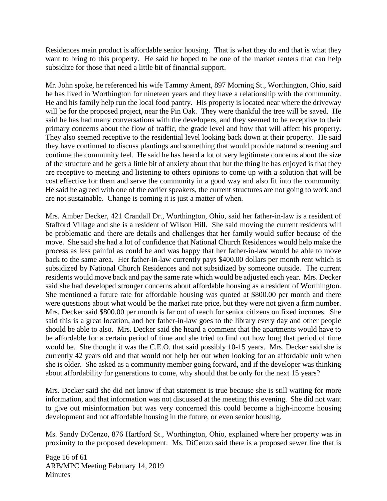Residences main product is affordable senior housing. That is what they do and that is what they want to bring to this property. He said he hoped to be one of the market renters that can help subsidize for those that need a little bit of financial support.

Mr. John spoke, he referenced his wife Tammy Ament, 897 Morning St., Worthington, Ohio, said he has lived in Worthington for nineteen years and they have a relationship with the community. He and his family help run the local food pantry. His property is located near where the driveway will be for the proposed project, near the Pin Oak. They were thankful the tree will be saved. He said he has had many conversations with the developers, and they seemed to be receptive to their primary concerns about the flow of traffic, the grade level and how that will affect his property. They also seemed receptive to the residential level looking back down at their property. He said they have continued to discuss plantings and something that would provide natural screening and continue the community feel. He said he has heard a lot of very legitimate concerns about the size of the structure and he gets a little bit of anxiety about that but the thing he has enjoyed is that they are receptive to meeting and listening to others opinions to come up with a solution that will be cost effective for them and serve the community in a good way and also fit into the community. He said he agreed with one of the earlier speakers, the current structures are not going to work and are not sustainable. Change is coming it is just a matter of when.

Mrs. Amber Decker, 421 Crandall Dr., Worthington, Ohio, said her father-in-law is a resident of Stafford Village and she is a resident of Wilson Hill. She said moving the current residents will be problematic and there are details and challenges that her family would suffer because of the move. She said she had a lot of confidence that National Church Residences would help make the process as less painful as could be and was happy that her father-in-law would be able to move back to the same area. Her father-in-law currently pays \$400.00 dollars per month rent which is subsidized by National Church Residences and not subsidized by someone outside. The current residents would move back and pay the same rate which would be adjusted each year. Mrs. Decker said she had developed stronger concerns about affordable housing as a resident of Worthington. She mentioned a future rate for affordable housing was quoted at \$800.00 per month and there were questions about what would be the market rate price, but they were not given a firm number. Mrs. Decker said \$800.00 per month is far out of reach for senior citizens on fixed incomes. She said this is a great location, and her father-in-law goes to the library every day and other people should be able to also. Mrs. Decker said she heard a comment that the apartments would have to be affordable for a certain period of time and she tried to find out how long that period of time would be. She thought it was the C.E.O. that said possibly 10-15 years. Mrs. Decker said she is currently 42 years old and that would not help her out when looking for an affordable unit when she is older. She asked as a community member going forward, and if the developer was thinking about affordability for generations to come, why should that be only for the next 15 years?

Mrs. Decker said she did not know if that statement is true because she is still waiting for more information, and that information was not discussed at the meeting this evening. She did not want to give out misinformation but was very concerned this could become a high-income housing development and not affordable housing in the future, or even senior housing.

Ms. Sandy DiCenzo, 876 Hartford St., Worthington, Ohio, explained where her property was in proximity to the proposed development. Ms. DiCenzo said there is a proposed sewer line that is

Page 16 of 61 ARB/MPC Meeting February 14, 2019 **Minutes**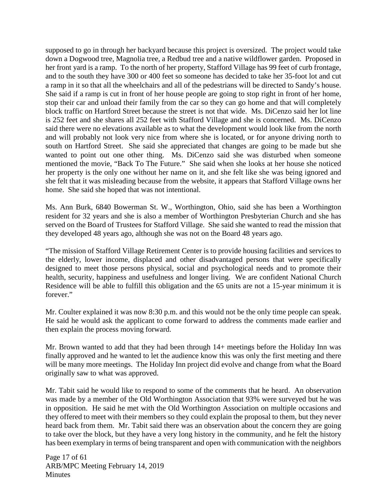supposed to go in through her backyard because this project is oversized. The project would take down a Dogwood tree, Magnolia tree, a Redbud tree and a native wildflower garden. Proposed in her front yard is a ramp. To the north of her property, Stafford Village has 99 feet of curb frontage, and to the south they have 300 or 400 feet so someone has decided to take her 35-foot lot and cut a ramp in it so that all the wheelchairs and all of the pedestrians will be directed to Sandy's house. She said if a ramp is cut in front of her house people are going to stop right in front of her home, stop their car and unload their family from the car so they can go home and that will completely block traffic on Hartford Street because the street is not that wide. Ms. DiCenzo said her lot line is 252 feet and she shares all 252 feet with Stafford Village and she is concerned. Ms. DiCenzo said there were no elevations available as to what the development would look like from the north and will probably not look very nice from where she is located, or for anyone driving north to south on Hartford Street. She said she appreciated that changes are going to be made but she wanted to point out one other thing. Ms. DiCenzo said she was disturbed when someone mentioned the movie, "Back To The Future." She said when she looks at her house she noticed her property is the only one without her name on it, and she felt like she was being ignored and she felt that it was misleading because from the website, it appears that Stafford Village owns her home. She said she hoped that was not intentional.

Ms. Ann Burk, 6840 Bowerman St. W., Worthington, Ohio, said she has been a Worthington resident for 32 years and she is also a member of Worthington Presbyterian Church and she has served on the Board of Trustees for Stafford Village. She said she wanted to read the mission that they developed 48 years ago, although she was not on the Board 48 years ago.

"The mission of Stafford Village Retirement Center is to provide housing facilities and services to the elderly, lower income, displaced and other disadvantaged persons that were specifically designed to meet those persons physical, social and psychological needs and to promote their health, security, happiness and usefulness and longer living. We are confident National Church Residence will be able to fulfill this obligation and the 65 units are not a 15-year minimum it is forever."

Mr. Coulter explained it was now 8:30 p.m. and this would not be the only time people can speak. He said he would ask the applicant to come forward to address the comments made earlier and then explain the process moving forward.

Mr. Brown wanted to add that they had been through 14+ meetings before the Holiday Inn was finally approved and he wanted to let the audience know this was only the first meeting and there will be many more meetings. The Holiday Inn project did evolve and change from what the Board originally saw to what was approved.

Mr. Tabit said he would like to respond to some of the comments that he heard. An observation was made by a member of the Old Worthington Association that 93% were surveyed but he was in opposition. He said he met with the Old Worthington Association on multiple occasions and they offered to meet with their members so they could explain the proposal to them, but they never heard back from them. Mr. Tabit said there was an observation about the concern they are going to take over the block, but they have a very long history in the community, and he felt the history has been exemplary in terms of being transparent and open with communication with the neighbors

Page 17 of 61 ARB/MPC Meeting February 14, 2019 **Minutes**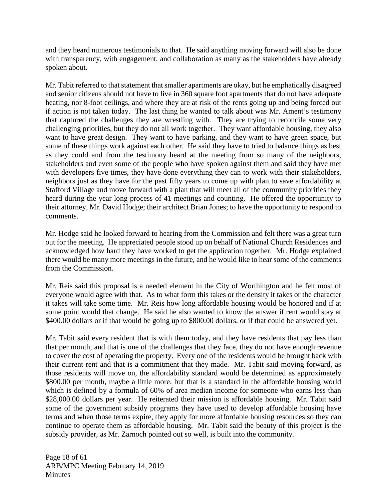and they heard numerous testimonials to that. He said anything moving forward will also be done with transparency, with engagement, and collaboration as many as the stakeholders have already spoken about.

Mr. Tabit referred to that statement that smaller apartments are okay, but he emphatically disagreed and senior citizens should not have to live in 360 square foot apartments that do not have adequate heating, nor 8-foot ceilings, and where they are at risk of the rents going up and being forced out if action is not taken today. The last thing he wanted to talk about was Mr. Ament's testimony that captured the challenges they are wrestling with. They are trying to reconcile some very challenging priorities, but they do not all work together. They want affordable housing, they also want to have great design. They want to have parking, and they want to have green space, but some of these things work against each other. He said they have to tried to balance things as best as they could and from the testimony heard at the meeting from so many of the neighbors, stakeholders and even some of the people who have spoken against them and said they have met with developers five times, they have done everything they can to work with their stakeholders, neighbors just as they have for the past fifty years to come up with plan to save affordability at Stafford Village and move forward with a plan that will meet all of the community priorities they heard during the year long process of 41 meetings and counting. He offered the opportunity to their attorney, Mr. David Hodge; their architect Brian Jones; to have the opportunity to respond to comments.

Mr. Hodge said he looked forward to hearing from the Commission and felt there was a great turn out for the meeting. He appreciated people stood up on behalf of National Church Residences and acknowledged how hard they have worked to get the application together. Mr. Hodge explained there would be many more meetings in the future, and he would like to hear some of the comments from the Commission.

Mr. Reis said this proposal is a needed element in the City of Worthington and he felt most of everyone would agree with that. As to what form this takes or the density it takes or the character it takes will take some time. Mr. Reis how long affordable housing would be honored and if at some point would that change. He said he also wanted to know the answer if rent would stay at \$400.00 dollars or if that would be going up to \$800.00 dollars, or if that could be answered yet.

Mr. Tabit said every resident that is with them today, and they have residents that pay less than that per month, and that is one of the challenges that they face, they do not have enough revenue to cover the cost of operating the property. Every one of the residents would be brought back with their current rent and that is a commitment that they made. Mr. Tabit said moving forward, as those residents will move on, the affordability standard would be determined as approximately \$800.00 per month, maybe a little more, but that is a standard in the affordable housing world which is defined by a formula of 60% of area median income for someone who earns less than \$28,000.00 dollars per year. He reiterated their mission is affordable housing. Mr. Tabit said some of the government subsidy programs they have used to develop affordable housing have terms and when those terms expire, they apply for more affordable housing resources so they can continue to operate them as affordable housing. Mr. Tabit said the beauty of this project is the subsidy provider, as Mr. Zarnoch pointed out so well, is built into the community.

Page 18 of 61 ARB/MPC Meeting February 14, 2019 **Minutes**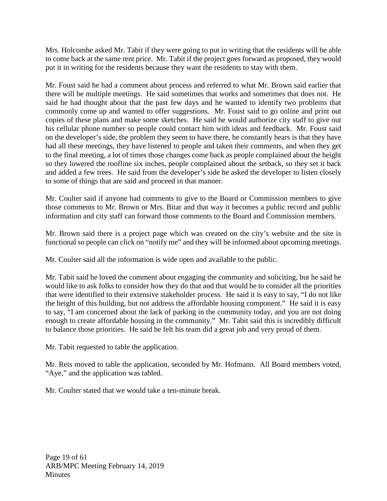Mrs. Holcombe asked Mr. Tabit if they were going to put in writing that the residents will be able to come back at the same rent price. Mr. Tabit if the project goes forward as proposed, they would put it in writing for the residents because they want the residents to stay with them.

Mr. Foust said he had a comment about process and referred to what Mr. Brown said earlier that there will be multiple meetings. He said sometimes that works and sometimes that does not. He said he had thought about that the past few days and he wanted to identify two problems that commonly come up and wanted to offer suggestions. Mr. Foust said to go online and print out copies of these plans and make some sketches. He said he would authorize city staff to give out his cellular phone number so people could contact him with ideas and feedback. Mr. Foust said on the developer's side, the problem they seem to have there, he constantly hears is that they have had all these meetings, they have listened to people and taken their comments, and when they get to the final meeting, a lot of times those changes come back as people complained about the height so they lowered the roofline six inches, people complained about the setback, so they set it back and added a few trees. He said from the developer's side he asked the developer to listen closely to some of things that are said and proceed in that manner.

Mr. Coulter said if anyone had comments to give to the Board or Commission members to give those comments to Mr. Brown or Mrs. Bitar and that way it becomes a public record and public information and city staff can forward those comments to the Board and Commission members.

Mr. Brown said there is a project page which was created on the city's website and the site is functional so people can click on "notify me" and they will be informed about upcoming meetings.

Mr. Coulter said all the information is wide open and available to the public.

Mr. Tabit said he loved the comment about engaging the community and soliciting, but he said he would like to ask folks to consider how they do that and that would be to consider all the priorities that were identified to their extensive stakeholder process. He said it is easy to say, "I do not like the height of this building, but not address the affordable housing component." He said it is easy to say, "I am concerned about the lack of parking in the community today, and you are not doing enough to create affordable housing in the community." Mr. Tabit said this is incredibly difficult to balance those priorities. He said he felt his team did a great job and very proud of them.

Mr. Tabit requested to table the application.

Mr. Reis moved to table the application, seconded by Mr. Hofmann. All Board members voted, "Aye," and the application was tabled.

Mr. Coulter stated that we would take a ten-minute break.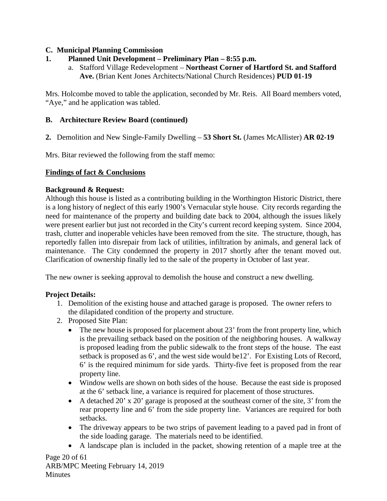# **C. Municipal Planning Commission**

- **1. Planned Unit Development – Preliminary Plan – 8:55 p.m.**
	- a. Stafford Village Redevelopment **Northeast Corner of Hartford St. and Stafford Ave.** (Brian Kent Jones Architects/National Church Residences) **PUD 01-19**

Mrs. Holcombe moved to table the application, seconded by Mr. Reis. All Board members voted, "Aye," and he application was tabled.

# **B. Architecture Review Board (continued)**

**2.** Demolition and New Single-Family Dwelling – **53 Short St.** (James McAllister) **AR 02-19**

Mrs. Bitar reviewed the following from the staff memo:

# **Findings of fact & Conclusions**

## **Background & Request:**

Although this house is listed as a contributing building in the Worthington Historic District, there is a long history of neglect of this early 1900's Vernacular style house. City records regarding the need for maintenance of the property and building date back to 2004, although the issues likely were present earlier but just not recorded in the City's current record keeping system. Since 2004, trash, clutter and inoperable vehicles have been removed from the site. The structure, though, has reportedly fallen into disrepair from lack of utilities, infiltration by animals, and general lack of maintenance. The City condemned the property in 2017 shortly after the tenant moved out. Clarification of ownership finally led to the sale of the property in October of last year.

The new owner is seeking approval to demolish the house and construct a new dwelling.

## **Project Details:**

- 1. Demolition of the existing house and attached garage is proposed. The owner refers to the dilapidated condition of the property and structure.
- 2. Proposed Site Plan:
	- The new house is proposed for placement about 23' from the front property line, which is the prevailing setback based on the position of the neighboring houses. A walkway is proposed leading from the public sidewalk to the front steps of the house. The east setback is proposed as 6', and the west side would be12'. For Existing Lots of Record, 6' is the required minimum for side yards. Thirty-five feet is proposed from the rear property line.
	- Window wells are shown on both sides of the house. Because the east side is proposed at the 6' setback line, a variance is required for placement of those structures.
	- A detached 20' x 20' garage is proposed at the southeast corner of the site, 3' from the rear property line and 6' from the side property line. Variances are required for both setbacks.
	- The driveway appears to be two strips of pavement leading to a paved pad in front of the side loading garage. The materials need to be identified.
	- A landscape plan is included in the packet, showing retention of a maple tree at the

Page 20 of 61 ARB/MPC Meeting February 14, 2019 **Minutes**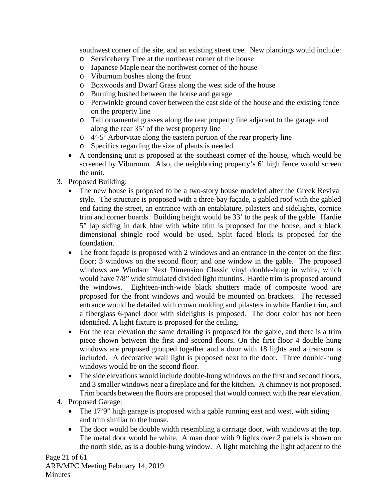southwest corner of the site, and an existing street tree. New plantings would include:

- o Serviceberry Tree at the northeast corner of the house
- o Japanese Maple near the northwest corner of the house
- o Viburnum bushes along the front
- o Boxwoods and Dwarf Grass along the west side of the house
- o Burning bushed between the house and garage
- o Periwinkle ground cover between the east side of the house and the existing fence on the property line
- o Tall ornamental grasses along the rear property line adjacent to the garage and along the rear 35' of the west property line
- o 4'-5' Arborvitae along the eastern portion of the rear property line
- o Specifics regarding the size of plants is needed.
- A condensing unit is proposed at the southeast corner of the house, which would be screened by Viburnum. Also, the neighboring property's 6' high fence would screen the unit.
- 3. Proposed Building:
	- The new house is proposed to be a two-story house modeled after the Greek Revival style. The structure is proposed with a three-bay façade, a gabled roof with the gabled end facing the street, an entrance with an entablature, pilasters and sidelights, cornice trim and corner boards. Building height would be 33' to the peak of the gable. Hardie 5" lap siding in dark blue with white trim is proposed for the house, and a black dimensional shingle roof would be used. Split faced block is proposed for the foundation.
	- The front façade is proposed with 2 windows and an entrance in the center on the first floor; 3 windows on the second floor; and one window in the gable. The proposed windows are Windsor Next Dimension Classic vinyl double-hung in white, which would have 7/8" wide simulated divided light muntins. Hardie trim is proposed around the windows. Eighteen-inch-wide black shutters made of composite wood are proposed for the front windows and would be mounted on brackets. The recessed entrance would be detailed with crown molding and pilasters in white Hardie trim, and a fiberglass 6-panel door with sidelights is proposed. The door color has not been identified. A light fixture is proposed for the ceiling.
	- For the rear elevation the same detailing is proposed for the gable, and there is a trim piece shown between the first and second floors. On the first floor 4 double hung windows are proposed grouped together and a door with 18 lights and a transom is included. A decorative wall light is proposed next to the door. Three double-hung windows would be on the second floor.
	- The side elevations would include double-hung windows on the first and second floors, and 3 smaller windows near a fireplace and for the kitchen. A chimney is not proposed. Trim boards between the floors are proposed that would connect with the rear elevation.
- 4. Proposed Garage:
	- The 17'9" high garage is proposed with a gable running east and west, with siding and trim similar to the house.
	- The door would be double width resembling a carriage door, with windows at the top. The metal door would be white. A man door with 9 lights over 2 panels is shown on the north side, as is a double-hung window. A light matching the light adjacent to the

Page 21 of 61 ARB/MPC Meeting February 14, 2019 Minutes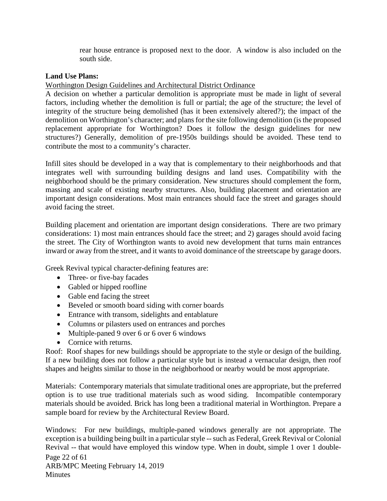rear house entrance is proposed next to the door. A window is also included on the south side.

### **Land Use Plans:**

### Worthington Design Guidelines and Architectural District Ordinance

A decision on whether a particular demolition is appropriate must be made in light of several factors, including whether the demolition is full or partial; the age of the structure; the level of integrity of the structure being demolished (has it been extensively altered?); the impact of the demolition on Worthington's character; and plans for the site following demolition (is the proposed replacement appropriate for Worthington? Does it follow the design guidelines for new structures?) Generally, demolition of pre-1950s buildings should be avoided. These tend to contribute the most to a community's character.

Infill sites should be developed in a way that is complementary to their neighborhoods and that integrates well with surrounding building designs and land uses. Compatibility with the neighborhood should be the primary consideration. New structures should complement the form, massing and scale of existing nearby structures. Also, building placement and orientation are important design considerations. Most main entrances should face the street and garages should avoid facing the street.

Building placement and orientation are important design considerations. There are two primary considerations: 1) most main entrances should face the street; and 2) garages should avoid facing the street. The City of Worthington wants to avoid new development that turns main entrances inward or away from the street, and it wants to avoid dominance of the streetscape by garage doors.

Greek Revival typical character-defining features are:

- Three- or five-bay facades
- Gabled or hipped roofline
- Gable end facing the street
- Beveled or smooth board siding with corner boards
- Entrance with transom, sidelights and entablature
- Columns or pilasters used on entrances and porches
- Multiple-paned 9 over 6 or 6 over 6 windows
- Cornice with returns.

Roof: Roof shapes for new buildings should be appropriate to the style or design of the building. If a new building does not follow a particular style but is instead a vernacular design, then roof shapes and heights similar to those in the neighborhood or nearby would be most appropriate.

Materials: Contemporary materials that simulate traditional ones are appropriate, but the preferred option is to use true traditional materials such as wood siding. Incompatible contemporary materials should be avoided. Brick has long been a traditional material in Worthington. Prepare a sample board for review by the Architectural Review Board.

Page 22 of 61 ARB/MPC Meeting February 14, 2019 **Minutes** Windows: For new buildings, multiple-paned windows generally are not appropriate. The exception is a building being built in a particular style -- such as Federal, Greek Revival or Colonial Revival -- that would have employed this window type. When in doubt, simple 1 over 1 double-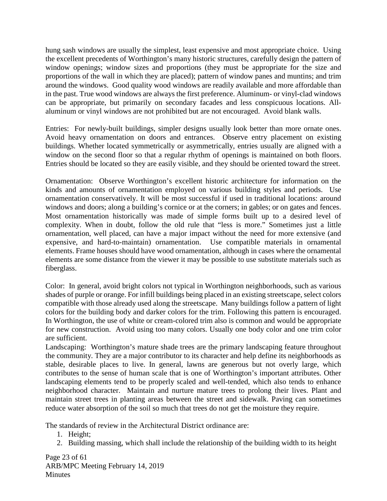hung sash windows are usually the simplest, least expensive and most appropriate choice. Using the excellent precedents of Worthington's many historic structures, carefully design the pattern of window openings; window sizes and proportions (they must be appropriate for the size and proportions of the wall in which they are placed); pattern of window panes and muntins; and trim around the windows. Good quality wood windows are readily available and more affordable than in the past. True wood windows are always the first preference. Aluminum- or vinyl-clad windows can be appropriate, but primarily on secondary facades and less conspicuous locations. Allaluminum or vinyl windows are not prohibited but are not encouraged. Avoid blank walls.

Entries: For newly-built buildings, simpler designs usually look better than more ornate ones. Avoid heavy ornamentation on doors and entrances. Observe entry placement on existing buildings. Whether located symmetrically or asymmetrically, entries usually are aligned with a window on the second floor so that a regular rhythm of openings is maintained on both floors. Entries should be located so they are easily visible, and they should be oriented toward the street.

Ornamentation: Observe Worthington's excellent historic architecture for information on the kinds and amounts of ornamentation employed on various building styles and periods. Use ornamentation conservatively. It will be most successful if used in traditional locations: around windows and doors; along a building's cornice or at the corners; in gables; or on gates and fences. Most ornamentation historically was made of simple forms built up to a desired level of complexity. When in doubt, follow the old rule that "less is more." Sometimes just a little ornamentation, well placed, can have a major impact without the need for more extensive (and expensive, and hard-to-maintain) ornamentation. Use compatible materials in ornamental elements. Frame houses should have wood ornamentation, although in cases where the ornamental elements are some distance from the viewer it may be possible to use substitute materials such as fiberglass.

Color: In general, avoid bright colors not typical in Worthington neighborhoods, such as various shades of purple or orange. For infill buildings being placed in an existing streetscape, select colors compatible with those already used along the streetscape. Many buildings follow a pattern of light colors for the building body and darker colors for the trim. Following this pattern is encouraged. In Worthington, the use of white or cream-colored trim also is common and would be appropriate for new construction. Avoid using too many colors. Usually one body color and one trim color are sufficient.

Landscaping: Worthington's mature shade trees are the primary landscaping feature throughout the community. They are a major contributor to its character and help define its neighborhoods as stable, desirable places to live. In general, lawns are generous but not overly large, which contributes to the sense of human scale that is one of Worthington's important attributes. Other landscaping elements tend to be properly scaled and well-tended, which also tends to enhance neighborhood character. Maintain and nurture mature trees to prolong their lives. Plant and maintain street trees in planting areas between the street and sidewalk. Paving can sometimes reduce water absorption of the soil so much that trees do not get the moisture they require.

The standards of review in the Architectural District ordinance are:

- 1. Height;
- 2. Building massing, which shall include the relationship of the building width to its height

Page 23 of 61 ARB/MPC Meeting February 14, 2019 **Minutes**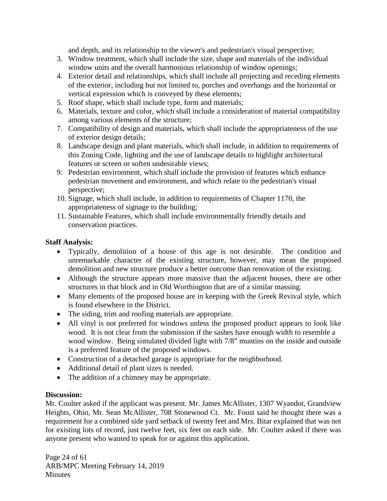and depth, and its relationship to the viewer's and pedestrian's visual perspective;

- 3. Window treatment, which shall include the size, shape and materials of the individual window units and the overall harmonious relationship of window openings;
- 4. Exterior detail and relationships, which shall include all projecting and receding elements of the exterior, including but not limited to, porches and overhangs and the horizontal or vertical expression which is conveyed by these elements;
- 5. Roof shape, which shall include type, form and materials;
- 6. Materials, texture and color, which shall include a consideration of material compatibility among various elements of the structure;
- 7. Compatibility of design and materials, which shall include the appropriateness of the use of exterior design details;
- 8. Landscape design and plant materials, which shall include, in addition to requirements of this Zoning Code, lighting and the use of landscape details to highlight architectural features or screen or soften undesirable views;
- 9. Pedestrian environment, which shall include the provision of features which enhance pedestrian movement and environment, and which relate to the pedestrian's visual perspective;
- 10. Signage, which shall include, in addition to requirements of Chapter 1170, the appropriateness of signage to the building;
- 11. Sustainable Features, which shall include environmentally friendly details and conservation practices.

## **Staff Analysis:**

- Typically, demolition of a house of this age is not desirable. The condition and unremarkable character of the existing structure, however, may mean the proposed demolition and new structure produce a better outcome than renovation of the existing.
- Although the structure appears more massive than the adjacent houses, there are other structures in that block and in Old Worthington that are of a similar massing.
- Many elements of the proposed house are in keeping with the Greek Revival style, which is found elsewhere in the District.
- The siding, trim and roofing materials are appropriate.
- All vinyl is not preferred for windows unless the proposed product appears to look like wood. It is not clear from the submission if the sashes have enough width to resemble a wood window. Being simulated divided light with 7/8" muntins on the inside and outside is a preferred feature of the proposed windows.
- Construction of a detached garage is appropriate for the neighborhood.
- Additional detail of plant sizes is needed.
- The addition of a chimney may be appropriate.

# **Discussion:**

Mr. Coulter asked if the applicant was present. Mr. James McAllister, 1307 Wyandot, Grandview Heights, Ohio, Mr. Sean McAllister, 708 Stonewood Ct. Mr. Foust said he thought there was a requirement for a combined side yard setback of twenty feet and Mrs. Bitar explained that was not for existing lots of record, just twelve feet, six feet on each side. Mr. Coulter asked if there was anyone present who wanted to speak for or against this application.

Page 24 of 61 ARB/MPC Meeting February 14, 2019 **Minutes**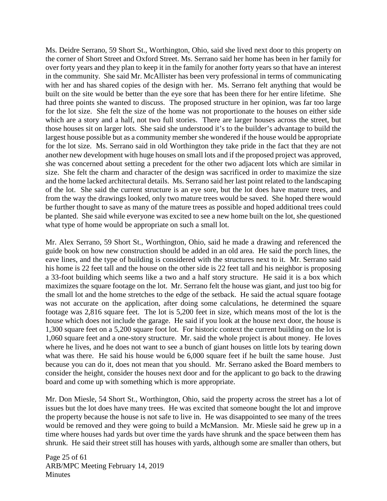Ms. Deidre Serrano, 59 Short St., Worthington, Ohio, said she lived next door to this property on the corner of Short Street and Oxford Street. Ms. Serrano said her home has been in her family for over forty years and they plan to keep it in the family for another forty years so that have an interest in the community. She said Mr. McAllister has been very professional in terms of communicating with her and has shared copies of the design with her. Ms. Serrano felt anything that would be built on the site would be better than the eye sore that has been there for her entire lifetime. She had three points she wanted to discuss. The proposed structure in her opinion, was far too large for the lot size. She felt the size of the home was not proportionate to the houses on either side which are a story and a half, not two full stories. There are larger houses across the street, but those houses sit on larger lots. She said she understood it's to the builder's advantage to build the largest house possible but as a community member she wondered if the house would be appropriate for the lot size. Ms. Serrano said in old Worthington they take pride in the fact that they are not another new development with huge houses on small lots and if the proposed project was approved, she was concerned about setting a precedent for the other two adjacent lots which are similar in size. She felt the charm and character of the design was sacrificed in order to maximize the size and the home lacked architectural details. Ms. Serrano said her last point related to the landscaping of the lot. She said the current structure is an eye sore, but the lot does have mature trees, and from the way the drawings looked, only two mature trees would be saved. She hoped there would be further thought to save as many of the mature trees as possible and hoped additional trees could be planted. She said while everyone was excited to see a new home built on the lot, she questioned what type of home would be appropriate on such a small lot.

Mr. Alex Serrano, 59 Short St., Worthington, Ohio, said he made a drawing and referenced the guide book on how new construction should be added in an old area. He said the porch lines, the eave lines, and the type of building is considered with the structures next to it. Mr. Serrano said his home is 22 feet tall and the house on the other side is 22 feet tall and his neighbor is proposing a 33-foot building which seems like a two and a half story structure. He said it is a box which maximizes the square footage on the lot. Mr. Serrano felt the house was giant, and just too big for the small lot and the home stretches to the edge of the setback. He said the actual square footage was not accurate on the application, after doing some calculations, he determined the square footage was 2,816 square feet. The lot is 5,200 feet in size, which means most of the lot is the house which does not include the garage. He said if you look at the house next door, the house is 1,300 square feet on a 5,200 square foot lot. For historic context the current building on the lot is 1,060 square feet and a one-story structure. Mr. said the whole project is about money. He loves where he lives, and he does not want to see a bunch of giant houses on little lots by tearing down what was there. He said his house would be 6,000 square feet if he built the same house. Just because you can do it, does not mean that you should. Mr. Serrano asked the Board members to consider the height, consider the houses next door and for the applicant to go back to the drawing board and come up with something which is more appropriate.

Mr. Don Miesle, 54 Short St., Worthington, Ohio, said the property across the street has a lot of issues but the lot does have many trees. He was excited that someone bought the lot and improve the property because the house is not safe to live in. He was disappointed to see many of the trees would be removed and they were going to build a McMansion. Mr. Miesle said he grew up in a time where houses had yards but over time the yards have shrunk and the space between them has shrunk. He said their street still has houses with yards, although some are smaller than others, but

Page 25 of 61 ARB/MPC Meeting February 14, 2019 **Minutes**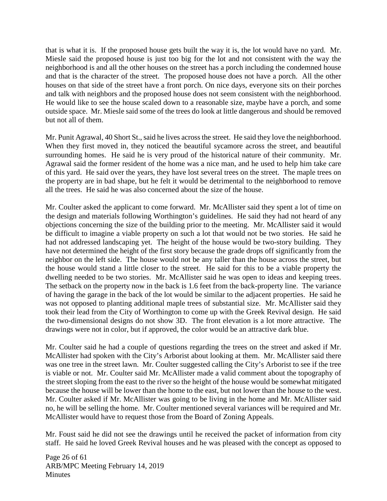that is what it is. If the proposed house gets built the way it is, the lot would have no yard. Mr. Miesle said the proposed house is just too big for the lot and not consistent with the way the neighborhood is and all the other houses on the street has a porch including the condemned house and that is the character of the street. The proposed house does not have a porch. All the other houses on that side of the street have a front porch. On nice days, everyone sits on their porches and talk with neighbors and the proposed house does not seem consistent with the neighborhood. He would like to see the house scaled down to a reasonable size, maybe have a porch, and some outside space. Mr. Miesle said some of the trees do look at little dangerous and should be removed but not all of them.

Mr. Punit Agrawal, 40 Short St., said he lives across the street. He said they love the neighborhood. When they first moved in, they noticed the beautiful sycamore across the street, and beautiful surrounding homes. He said he is very proud of the historical nature of their community. Mr. Agrawal said the former resident of the home was a nice man, and he used to help him take care of this yard. He said over the years, they have lost several trees on the street. The maple trees on the property are in bad shape, but he felt it would be detrimental to the neighborhood to remove all the trees. He said he was also concerned about the size of the house.

Mr. Coulter asked the applicant to come forward. Mr. McAllister said they spent a lot of time on the design and materials following Worthington's guidelines. He said they had not heard of any objections concerning the size of the building prior to the meeting. Mr. McAllister said it would be difficult to imagine a viable property on such a lot that would not be two stories. He said he had not addressed landscaping yet. The height of the house would be two-story building. They have not determined the height of the first story because the grade drops off significantly from the neighbor on the left side. The house would not be any taller than the house across the street, but the house would stand a little closer to the street. He said for this to be a viable property the dwelling needed to be two stories. Mr. McAllister said he was open to ideas and keeping trees. The setback on the property now in the back is 1.6 feet from the back-property line. The variance of having the garage in the back of the lot would be similar to the adjacent properties. He said he was not opposed to planting additional maple trees of substantial size. Mr. McAllister said they took their lead from the City of Worthington to come up with the Greek Revival design. He said the two-dimensional designs do not show 3D. The front elevation is a lot more attractive. The drawings were not in color, but if approved, the color would be an attractive dark blue.

Mr. Coulter said he had a couple of questions regarding the trees on the street and asked if Mr. McAllister had spoken with the City's Arborist about looking at them. Mr. McAllister said there was one tree in the street lawn. Mr. Coulter suggested calling the City's Arborist to see if the tree is viable or not. Mr. Coulter said Mr. McAllister made a valid comment about the topography of the street sloping from the east to the river so the height of the house would be somewhat mitigated because the house will be lower than the home to the east, but not lower than the house to the west. Mr. Coulter asked if Mr. McAllister was going to be living in the home and Mr. McAllister said no, he will be selling the home. Mr. Coulter mentioned several variances will be required and Mr. McAllister would have to request those from the Board of Zoning Appeals.

Mr. Foust said he did not see the drawings until he received the packet of information from city staff. He said he loved Greek Revival houses and he was pleased with the concept as opposed to

Page 26 of 61 ARB/MPC Meeting February 14, 2019 **Minutes**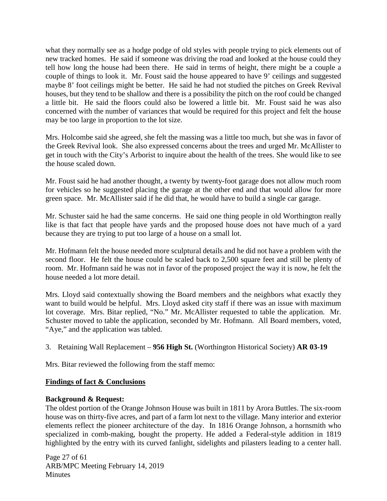what they normally see as a hodge podge of old styles with people trying to pick elements out of new tracked homes. He said if someone was driving the road and looked at the house could they tell how long the house had been there. He said in terms of height, there might be a couple a couple of things to look it. Mr. Foust said the house appeared to have 9' ceilings and suggested maybe 8' foot ceilings might be better. He said he had not studied the pitches on Greek Revival houses, but they tend to be shallow and there is a possibility the pitch on the roof could be changed a little bit. He said the floors could also be lowered a little bit. Mr. Foust said he was also concerned with the number of variances that would be required for this project and felt the house may be too large in proportion to the lot size.

Mrs. Holcombe said she agreed, she felt the massing was a little too much, but she was in favor of the Greek Revival look. She also expressed concerns about the trees and urged Mr. McAllister to get in touch with the City's Arborist to inquire about the health of the trees. She would like to see the house scaled down.

Mr. Foust said he had another thought, a twenty by twenty-foot garage does not allow much room for vehicles so he suggested placing the garage at the other end and that would allow for more green space. Mr. McAllister said if he did that, he would have to build a single car garage.

Mr. Schuster said he had the same concerns. He said one thing people in old Worthington really like is that fact that people have yards and the proposed house does not have much of a yard because they are trying to put too large of a house on a small lot.

Mr. Hofmann felt the house needed more sculptural details and he did not have a problem with the second floor. He felt the house could be scaled back to 2,500 square feet and still be plenty of room. Mr. Hofmann said he was not in favor of the proposed project the way it is now, he felt the house needed a lot more detail.

Mrs. Lloyd said contextually showing the Board members and the neighbors what exactly they want to build would be helpful. Mrs. Lloyd asked city staff if there was an issue with maximum lot coverage. Mrs. Bitar replied, "No." Mr. McAllister requested to table the application. Mr. Schuster moved to table the application, seconded by Mr. Hofmann. All Board members, voted, "Aye," and the application was tabled.

3. Retaining Wall Replacement – **956 High St.** (Worthington Historical Society) **AR 03-19**

Mrs. Bitar reviewed the following from the staff memo:

## **Findings of fact & Conclusions**

## **Background & Request:**

The oldest portion of the Orange Johnson House was built in 1811 by Arora Buttles. The six-room house was on thirty-five acres, and part of a farm lot next to the village. Many interior and exterior elements reflect the pioneer architecture of the day. In 1816 Orange Johnson, a hornsmith who specialized in comb-making, bought the property. He added a Federal-style addition in 1819 highlighted by the entry with its curved fanlight, sidelights and pilasters leading to a center hall.

Page 27 of 61 ARB/MPC Meeting February 14, 2019 **Minutes**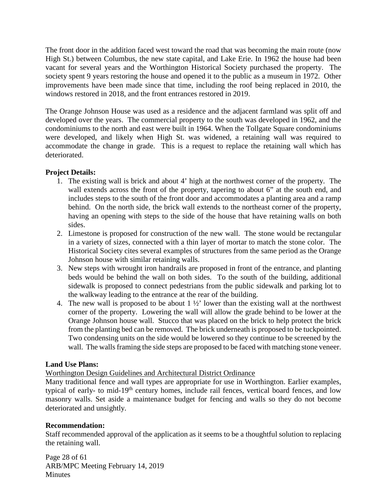The front door in the addition faced west toward the road that was becoming the main route (now High St.) between Columbus, the new state capital, and Lake Erie. In 1962 the house had been vacant for several years and the Worthington Historical Society purchased the property. The society spent 9 years restoring the house and opened it to the public as a museum in 1972. Other improvements have been made since that time, including the roof being replaced in 2010, the windows restored in 2018, and the front entrances restored in 2019.

The Orange Johnson House was used as a residence and the adjacent farmland was split off and developed over the years. The commercial property to the south was developed in 1962, and the condominiums to the north and east were built in 1964. When the Tollgate Square condominiums were developed, and likely when High St. was widened, a retaining wall was required to accommodate the change in grade. This is a request to replace the retaining wall which has deteriorated.

## **Project Details:**

- 1. The existing wall is brick and about 4' high at the northwest corner of the property. The wall extends across the front of the property, tapering to about 6" at the south end, and includes steps to the south of the front door and accommodates a planting area and a ramp behind. On the north side, the brick wall extends to the northeast corner of the property, having an opening with steps to the side of the house that have retaining walls on both sides.
- 2. Limestone is proposed for construction of the new wall. The stone would be rectangular in a variety of sizes, connected with a thin layer of mortar to match the stone color. The Historical Society cites several examples of structures from the same period as the Orange Johnson house with similar retaining walls.
- 3. New steps with wrought iron handrails are proposed in front of the entrance, and planting beds would be behind the wall on both sides. To the south of the building, additional sidewalk is proposed to connect pedestrians from the public sidewalk and parking lot to the walkway leading to the entrance at the rear of the building.
- 4. The new wall is proposed to be about  $1\frac{1}{2}$  lower than the existing wall at the northwest corner of the property. Lowering the wall will allow the grade behind to be lower at the Orange Johnson house wall. Stucco that was placed on the brick to help protect the brick from the planting bed can be removed. The brick underneath is proposed to be tuckpointed. Two condensing units on the side would be lowered so they continue to be screened by the wall. The walls framing the side steps are proposed to be faced with matching stone veneer.

## **Land Use Plans:**

Worthington Design Guidelines and Architectural District Ordinance

Many traditional fence and wall types are appropriate for use in Worthington. Earlier examples, typical of early- to mid-19<sup>th</sup> century homes, include rail fences, vertical board fences, and low masonry walls. Set aside a maintenance budget for fencing and walls so they do not become deteriorated and unsightly.

## **Recommendation:**

Staff recommended approval of the application as it seems to be a thoughtful solution to replacing the retaining wall.

Page 28 of 61 ARB/MPC Meeting February 14, 2019 Minutes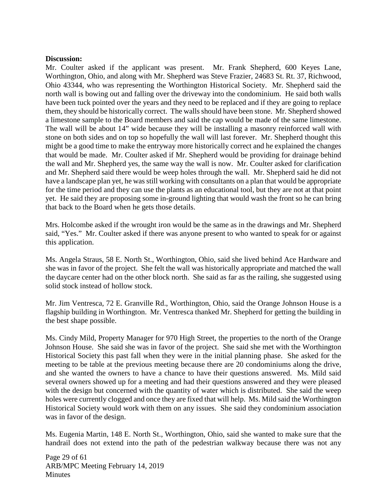#### **Discussion:**

Mr. Coulter asked if the applicant was present. Mr. Frank Shepherd, 600 Keyes Lane, Worthington, Ohio, and along with Mr. Shepherd was Steve Frazier, 24683 St. Rt. 37, Richwood, Ohio 43344, who was representing the Worthington Historical Society. Mr. Shepherd said the north wall is bowing out and falling over the driveway into the condominium. He said both walls have been tuck pointed over the years and they need to be replaced and if they are going to replace them, they should be historically correct. The walls should have been stone. Mr. Shepherd showed a limestone sample to the Board members and said the cap would be made of the same limestone. The wall will be about 14" wide because they will be installing a masonry reinforced wall with stone on both sides and on top so hopefully the wall will last forever. Mr. Shepherd thought this might be a good time to make the entryway more historically correct and he explained the changes that would be made. Mr. Coulter asked if Mr. Shepherd would be providing for drainage behind the wall and Mr. Shepherd yes, the same way the wall is now. Mr. Coulter asked for clarification and Mr. Shepherd said there would be weep holes through the wall. Mr. Shepherd said he did not have a landscape plan yet, he was still working with consultants on a plan that would be appropriate for the time period and they can use the plants as an educational tool, but they are not at that point yet. He said they are proposing some in-ground lighting that would wash the front so he can bring that back to the Board when he gets those details.

Mrs. Holcombe asked if the wrought iron would be the same as in the drawings and Mr. Shepherd said, "Yes." Mr. Coulter asked if there was anyone present to who wanted to speak for or against this application.

Ms. Angela Straus, 58 E. North St., Worthington, Ohio, said she lived behind Ace Hardware and she was in favor of the project. She felt the wall was historically appropriate and matched the wall the daycare center had on the other block north. She said as far as the railing, she suggested using solid stock instead of hollow stock.

Mr. Jim Ventresca, 72 E. Granville Rd., Worthington, Ohio, said the Orange Johnson House is a flagship building in Worthington. Mr. Ventresca thanked Mr. Shepherd for getting the building in the best shape possible.

Ms. Cindy Mild, Property Manager for 970 High Street, the properties to the north of the Orange Johnson House. She said she was in favor of the project. She said she met with the Worthington Historical Society this past fall when they were in the initial planning phase. She asked for the meeting to be table at the previous meeting because there are 20 condominiums along the drive, and she wanted the owners to have a chance to have their questions answered. Ms. Mild said several owners showed up for a meeting and had their questions answered and they were pleased with the design but concerned with the quantity of water which is distributed. She said the weep holes were currently clogged and once they are fixed that will help. Ms. Mild said the Worthington Historical Society would work with them on any issues. She said they condominium association was in favor of the design.

Ms. Eugenia Martin, 148 E. North St., Worthington, Ohio, said she wanted to make sure that the handrail does not extend into the path of the pedestrian walkway because there was not any

Page 29 of 61 ARB/MPC Meeting February 14, 2019 **Minutes**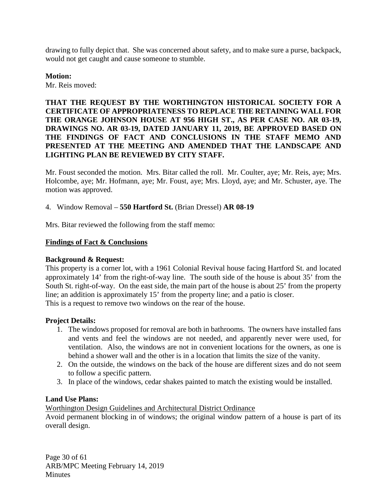drawing to fully depict that. She was concerned about safety, and to make sure a purse, backpack, would not get caught and cause someone to stumble.

**Motion:** Mr. Reis moved:

# **THAT THE REQUEST BY THE WORTHINGTON HISTORICAL SOCIETY FOR A CERTIFICATE OF APPROPRIATENESS TO REPLACE THE RETAINING WALL FOR THE ORANGE JOHNSON HOUSE AT 956 HIGH ST., AS PER CASE NO. AR 03-19, DRAWINGS NO. AR 03-19, DATED JANUARY 11, 2019, BE APPROVED BASED ON THE FINDINGS OF FACT AND CONCLUSIONS IN THE STAFF MEMO AND PRESENTED AT THE MEETING AND AMENDED THAT THE LANDSCAPE AND LIGHTING PLAN BE REVIEWED BY CITY STAFF.**

Mr. Foust seconded the motion. Mrs. Bitar called the roll. Mr. Coulter, aye; Mr. Reis, aye; Mrs. Holcombe, aye; Mr. Hofmann, aye; Mr. Foust, aye; Mrs. Lloyd, aye; and Mr. Schuster, aye. The motion was approved.

4. Window Removal – **550 Hartford St.** (Brian Dressel) **AR 08-19**

Mrs. Bitar reviewed the following from the staff memo:

### **Findings of Fact & Conclusions**

#### **Background & Request:**

This property is a corner lot, with a 1961 Colonial Revival house facing Hartford St. and located approximately 14' from the right-of-way line. The south side of the house is about 35' from the South St. right-of-way. On the east side, the main part of the house is about 25' from the property line; an addition is approximately 15' from the property line; and a patio is closer. This is a request to remove two windows on the rear of the house.

#### **Project Details:**

- 1. The windows proposed for removal are both in bathrooms. The owners have installed fans and vents and feel the windows are not needed, and apparently never were used, for ventilation. Also, the windows are not in convenient locations for the owners, as one is behind a shower wall and the other is in a location that limits the size of the vanity.
- 2. On the outside, the windows on the back of the house are different sizes and do not seem to follow a specific pattern.
- 3. In place of the windows, cedar shakes painted to match the existing would be installed.

#### **Land Use Plans:**

Worthington Design Guidelines and Architectural District Ordinance

Avoid permanent blocking in of windows; the original window pattern of a house is part of its overall design.

Page 30 of 61 ARB/MPC Meeting February 14, 2019 **Minutes**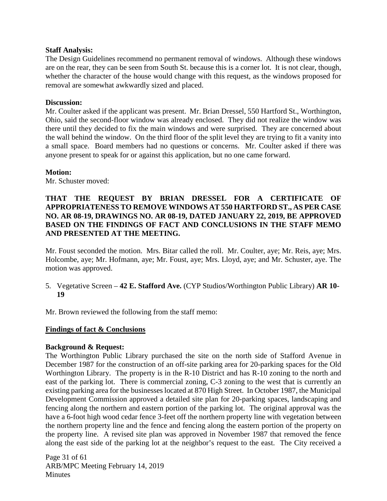### **Staff Analysis:**

The Design Guidelines recommend no permanent removal of windows. Although these windows are on the rear, they can be seen from South St. because this is a corner lot. It is not clear, though, whether the character of the house would change with this request, as the windows proposed for removal are somewhat awkwardly sized and placed.

### **Discussion:**

Mr. Coulter asked if the applicant was present. Mr. Brian Dressel, 550 Hartford St., Worthington, Ohio, said the second-floor window was already enclosed. They did not realize the window was there until they decided to fix the main windows and were surprised. They are concerned about the wall behind the window. On the third floor of the split level they are trying to fit a vanity into a small space. Board members had no questions or concerns. Mr. Coulter asked if there was anyone present to speak for or against this application, but no one came forward.

### **Motion:**

Mr. Schuster moved:

## **THAT THE REQUEST BY BRIAN DRESSEL FOR A CERTIFICATE OF APPROPRIATENESS TO REMOVE WINDOWS AT 550 HARTFORD ST., AS PER CASE NO. AR 08-19, DRAWINGS NO. AR 08-19, DATED JANUARY 22, 2019, BE APPROVED BASED ON THE FINDINGS OF FACT AND CONCLUSIONS IN THE STAFF MEMO AND PRESENTED AT THE MEETING.**

Mr. Foust seconded the motion. Mrs. Bitar called the roll. Mr. Coulter, aye; Mr. Reis, aye; Mrs. Holcombe, aye; Mr. Hofmann, aye; Mr. Foust, aye; Mrs. Lloyd, aye; and Mr. Schuster, aye. The motion was approved.

- 5. Vegetative Screen **42 E. Stafford Ave.** (CYP Studios/Worthington Public Library) **AR 10- 19**
- Mr. Brown reviewed the following from the staff memo:

# **Findings of fact & Conclusions**

#### **Background & Request:**

The Worthington Public Library purchased the site on the north side of Stafford Avenue in December 1987 for the construction of an off-site parking area for 20-parking spaces for the Old Worthington Library. The property is in the R-10 District and has R-10 zoning to the north and east of the parking lot. There is commercial zoning, C-3 zoning to the west that is currently an existing parking area for the businesses located at 870 High Street. In October 1987, the Municipal Development Commission approved a detailed site plan for 20-parking spaces, landscaping and fencing along the northern and eastern portion of the parking lot. The original approval was the have a 6-foot high wood cedar fence 3-feet off the northern property line with vegetation between the northern property line and the fence and fencing along the eastern portion of the property on the property line. A revised site plan was approved in November 1987 that removed the fence along the east side of the parking lot at the neighbor's request to the east. The City received a

Page 31 of 61 ARB/MPC Meeting February 14, 2019 **Minutes**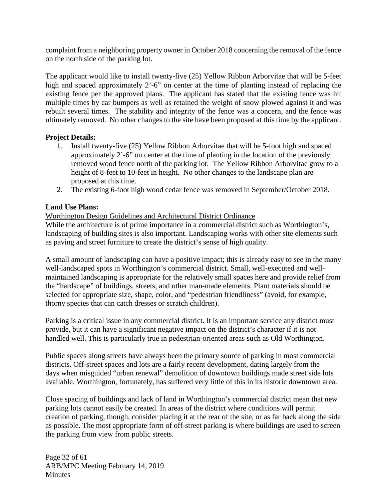complaint from a neighboring property owner in October 2018 concerning the removal of the fence on the north side of the parking lot.

The applicant would like to install twenty-five (25) Yellow Ribbon Arborvitae that will be 5-feet high and spaced approximately 2'-6" on center at the time of planting instead of replacing the existing fence per the approved plans. The applicant has stated that the existing fence was hit multiple times by car bumpers as well as retained the weight of snow plowed against it and was rebuilt several times. The stability and integrity of the fence was a concern, and the fence was ultimately removed. No other changes to the site have been proposed at this time by the applicant.

## **Project Details:**

- 1. Install twenty-five (25) Yellow Ribbon Arborvitae that will be 5-foot high and spaced approximately 2'-6" on center at the time of planting in the location of the previously removed wood fence north of the parking lot. The Yellow Ribbon Arborvitae grow to a height of 8-feet to 10-feet in height. No other changes to the landscape plan are proposed at this time.
- 2. The existing 6-foot high wood cedar fence was removed in September/October 2018.

# **Land Use Plans:**

## Worthington Design Guidelines and Architectural District Ordinance

While the architecture is of prime importance in a commercial district such as Worthington's, landscaping of building sites is also important. Landscaping works with other site elements such as paving and street furniture to create the district's sense of high quality.

A small amount of landscaping can have a positive impact; this is already easy to see in the many well-landscaped spots in Worthington's commercial district. Small, well-executed and wellmaintained landscaping is appropriate for the relatively small spaces here and provide relief from the "hardscape" of buildings, streets, and other man-made elements. Plant materials should be selected for appropriate size, shape, color, and "pedestrian friendliness" (avoid, for example, thorny species that can catch dresses or scratch children).

Parking is a critical issue in any commercial district. It is an important service any district must provide, but it can have a significant negative impact on the district's character if it is not handled well. This is particularly true in pedestrian-oriented areas such as Old Worthington.

Public spaces along streets have always been the primary source of parking in most commercial districts. Off-street spaces and lots are a fairly recent development, dating largely from the days when misguided "urban renewal" demolition of downtown buildings made street side lots available. Worthington, fortunately, has suffered very little of this in its historic downtown area.

Close spacing of buildings and lack of land in Worthington's commercial district mean that new parking lots cannot easily be created. In areas of the district where conditions will permit creation of parking, though, consider placing it at the rear of the site, or as far back along the side as possible. The most appropriate form of off-street parking is where buildings are used to screen the parking from view from public streets.

Page 32 of 61 ARB/MPC Meeting February 14, 2019 **Minutes**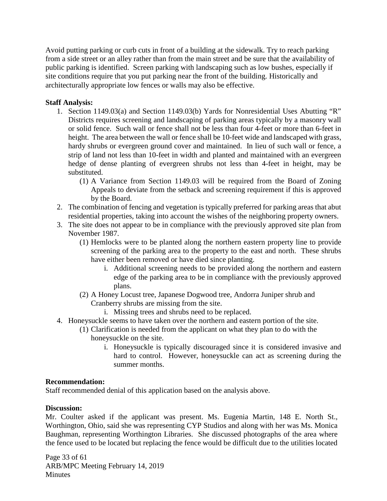Avoid putting parking or curb cuts in front of a building at the sidewalk. Try to reach parking from a side street or an alley rather than from the main street and be sure that the availability of public parking is identified. Screen parking with landscaping such as low bushes, especially if site conditions require that you put parking near the front of the building. Historically and architecturally appropriate low fences or walls may also be effective.

### **Staff Analysis:**

- 1. Section 1149.03(a) and Section 1149.03(b) Yards for Nonresidential Uses Abutting "R" Districts requires screening and landscaping of parking areas typically by a masonry wall or solid fence. Such wall or fence shall not be less than four 4-feet or more than 6-feet in height. The area between the wall or fence shall be 10-feet wide and landscaped with grass, hardy shrubs or evergreen ground cover and maintained. In lieu of such wall or fence, a strip of land not less than 10-feet in width and planted and maintained with an evergreen hedge of dense planting of evergreen shrubs not less than 4-feet in height, may be substituted.
	- (1) A Variance from Section 1149.03 will be required from the Board of Zoning Appeals to deviate from the setback and screening requirement if this is approved by the Board.
- 2. The combination of fencing and vegetation is typically preferred for parking areas that abut residential properties, taking into account the wishes of the neighboring property owners.
- 3. The site does not appear to be in compliance with the previously approved site plan from November 1987.
	- (1) Hemlocks were to be planted along the northern eastern property line to provide screening of the parking area to the property to the east and north. These shrubs have either been removed or have died since planting.
		- i. Additional screening needs to be provided along the northern and eastern edge of the parking area to be in compliance with the previously approved plans.
	- (2) A Honey Locust tree, Japanese Dogwood tree, Andorra Juniper shrub and Cranberry shrubs are missing from the site.

i. Missing trees and shrubs need to be replaced.

- 4. Honeysuckle seems to have taken over the northern and eastern portion of the site.
	- (1) Clarification is needed from the applicant on what they plan to do with the honeysuckle on the site.
		- i. Honeysuckle is typically discouraged since it is considered invasive and hard to control. However, honeysuckle can act as screening during the summer months.

#### **Recommendation:**

Staff recommended denial of this application based on the analysis above.

#### **Discussion:**

Mr. Coulter asked if the applicant was present. Ms. Eugenia Martin, 148 E. North St., Worthington, Ohio, said she was representing CYP Studios and along with her was Ms. Monica Baughman, representing Worthington Libraries. She discussed photographs of the area where the fence used to be located but replacing the fence would be difficult due to the utilities located

Page 33 of 61 ARB/MPC Meeting February 14, 2019 **Minutes**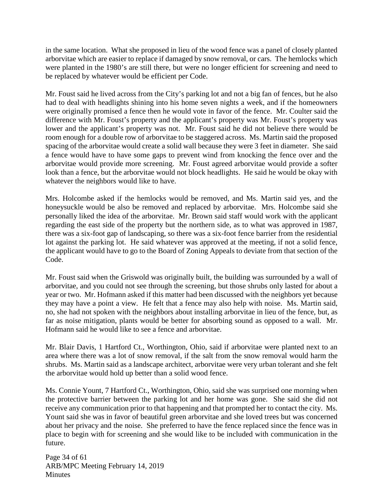in the same location. What she proposed in lieu of the wood fence was a panel of closely planted arborvitae which are easier to replace if damaged by snow removal, or cars. The hemlocks which were planted in the 1980's are still there, but were no longer efficient for screening and need to be replaced by whatever would be efficient per Code.

Mr. Foust said he lived across from the City's parking lot and not a big fan of fences, but he also had to deal with headlights shining into his home seven nights a week, and if the homeowners were originally promised a fence then he would vote in favor of the fence. Mr. Coulter said the difference with Mr. Foust's property and the applicant's property was Mr. Foust's property was lower and the applicant's property was not. Mr. Foust said he did not believe there would be room enough for a double row of arborvitae to be staggered across. Ms. Martin said the proposed spacing of the arborvitae would create a solid wall because they were 3 feet in diameter. She said a fence would have to have some gaps to prevent wind from knocking the fence over and the arborvitae would provide more screening. Mr. Foust agreed arborvitae would provide a softer look than a fence, but the arborvitae would not block headlights. He said he would be okay with whatever the neighbors would like to have.

Mrs. Holcombe asked if the hemlocks would be removed, and Ms. Martin said yes, and the honeysuckle would be also be removed and replaced by arborvitae. Mrs. Holcombe said she personally liked the idea of the arborvitae. Mr. Brown said staff would work with the applicant regarding the east side of the property but the northern side, as to what was approved in 1987, there was a six-foot gap of landscaping, so there was a six-foot fence barrier from the residential lot against the parking lot. He said whatever was approved at the meeting, if not a solid fence, the applicant would have to go to the Board of Zoning Appeals to deviate from that section of the Code.

Mr. Foust said when the Griswold was originally built, the building was surrounded by a wall of arborvitae, and you could not see through the screening, but those shrubs only lasted for about a year or two. Mr. Hofmann asked if this matter had been discussed with the neighbors yet because they may have a point a view. He felt that a fence may also help with noise. Ms. Martin said, no, she had not spoken with the neighbors about installing arborvitae in lieu of the fence, but, as far as noise mitigation, plants would be better for absorbing sound as opposed to a wall. Mr. Hofmann said he would like to see a fence and arborvitae.

Mr. Blair Davis, 1 Hartford Ct., Worthington, Ohio, said if arborvitae were planted next to an area where there was a lot of snow removal, if the salt from the snow removal would harm the shrubs. Ms. Martin said as a landscape architect, arborvitae were very urban tolerant and she felt the arborvitae would hold up better than a solid wood fence.

Ms. Connie Yount, 7 Hartford Ct., Worthington, Ohio, said she was surprised one morning when the protective barrier between the parking lot and her home was gone. She said she did not receive any communication prior to that happening and that prompted her to contact the city. Ms. Yount said she was in favor of beautiful green arborvitae and she loved trees but was concerned about her privacy and the noise. She preferred to have the fence replaced since the fence was in place to begin with for screening and she would like to be included with communication in the future.

Page 34 of 61 ARB/MPC Meeting February 14, 2019 **Minutes**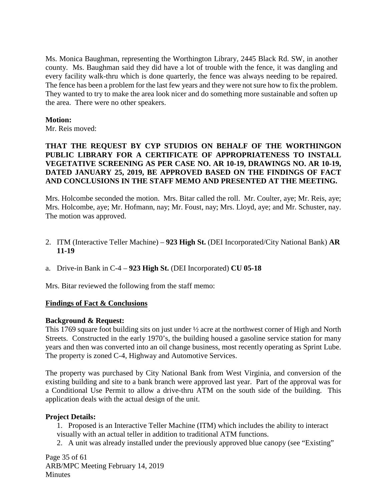Ms. Monica Baughman, representing the Worthington Library, 2445 Black Rd. SW, in another county. Ms. Baughman said they did have a lot of trouble with the fence, it was dangling and every facility walk-thru which is done quarterly, the fence was always needing to be repaired. The fence has been a problem for the last few years and they were not sure how to fix the problem. They wanted to try to make the area look nicer and do something more sustainable and soften up the area. There were no other speakers.

#### **Motion:**

Mr. Reis moved:

## **THAT THE REQUEST BY CYP STUDIOS ON BEHALF OF THE WORTHINGON PUBLIC LIBRARY FOR A CERTIFICATE OF APPROPRIATENESS TO INSTALL VEGETATIVE SCREENING AS PER CASE NO. AR 10-19, DRAWINGS NO. AR 10-19, DATED JANUARY 25, 2019, BE APPROVED BASED ON THE FINDINGS OF FACT AND CONCLUSIONS IN THE STAFF MEMO AND PRESENTED AT THE MEETING.**

Mrs. Holcombe seconded the motion. Mrs. Bitar called the roll. Mr. Coulter, aye; Mr. Reis, aye; Mrs. Holcombe, aye; Mr. Hofmann, nay; Mr. Foust, nay; Mrs. Lloyd, aye; and Mr. Schuster, nay. The motion was approved.

- 2. ITM (Interactive Teller Machine) **923 High St.** (DEI Incorporated/City National Bank) **AR 11-19**
- a. Drive-in Bank in C-4 **923 High St.** (DEI Incorporated) **CU 05-18**

Mrs. Bitar reviewed the following from the staff memo:

#### **Findings of Fact & Conclusions**

#### **Background & Request:**

This 1769 square foot building sits on just under ½ acre at the northwest corner of High and North Streets. Constructed in the early 1970's, the building housed a gasoline service station for many years and then was converted into an oil change business, most recently operating as Sprint Lube. The property is zoned C-4, Highway and Automotive Services.

The property was purchased by City National Bank from West Virginia, and conversion of the existing building and site to a bank branch were approved last year. Part of the approval was for a Conditional Use Permit to allow a drive-thru ATM on the south side of the building. This application deals with the actual design of the unit.

#### **Project Details:**

1. Proposed is an Interactive Teller Machine (ITM) which includes the ability to interact visually with an actual teller in addition to traditional ATM functions.

2. A unit was already installed under the previously approved blue canopy (see "Existing"

Page 35 of 61 ARB/MPC Meeting February 14, 2019 **Minutes**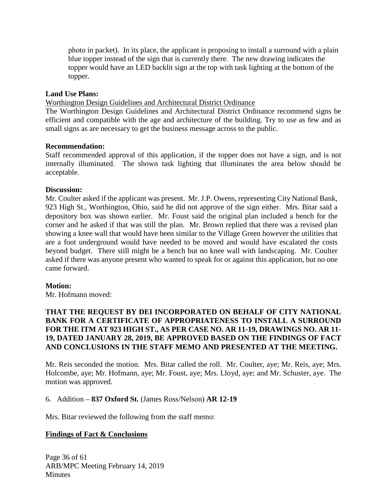photo in packet). In its place, the applicant is proposing to install a surround with a plain blue topper instead of the sign that is currently there. The new drawing indicates the topper would have an LED backlit sign at the top with task lighting at the bottom of the topper.

### **Land Use Plans:**

Worthington Design Guidelines and Architectural District Ordinance

The Worthington Design Guidelines and Architectural District Ordinance recommend signs be efficient and compatible with the age and architecture of the building. Try to use as few and as small signs as are necessary to get the business message across to the public.

#### **Recommendation:**

Staff recommended approval of this application, if the topper does not have a sign, and is not internally illuminated. The shown task lighting that illuminates the area below should be acceptable.

#### **Discussion:**

Mr. Coulter asked if the applicant was present. Mr. J.P. Owens, representing City National Bank, 923 High St., Worthington, Ohio, said he did not approve of the sign either. Mrs. Bitar said a depository box was shown earlier. Mr. Foust said the original plan included a bench for the corner and he asked if that was still the plan. Mr. Brown replied that there was a revised plan showing a knee wall that would have been similar to the Village Green however the utilities that are a foot underground would have needed to be moved and would have escalated the costs beyond budget. There still might be a bench but no knee wall with landscaping. Mr. Coulter asked if there was anyone present who wanted to speak for or against this application, but no one came forward.

#### **Motion:**

Mr. Hofmann moved:

## **THAT THE REQUEST BY DEI INCORPORATED ON BEHALF OF CITY NATIONAL BANK FOR A CERTIFICATE OF APPROPRIATENESS TO INSTALL A SURROUND FOR THE ITM AT 923 HIGH ST., AS PER CASE NO. AR 11-19, DRAWINGS NO. AR 11- 19, DATED JANUARY 28, 2019, BE APPROVED BASED ON THE FINDINGS OF FACT AND CONCLUSIONS IN THE STAFF MEMO AND PRESENTED AT THE MEETING.**

Mr. Reis seconded the motion. Mrs. Bitar called the roll. Mr. Coulter, aye; Mr. Reis, aye; Mrs. Holcombe, aye; Mr. Hofmann, aye; Mr. Foust, aye; Mrs. Lloyd, aye; and Mr. Schuster, aye. The motion was approved.

#### 6. Addition – **837 Oxford St.** (James Ross/Nelson) **AR 12-19**

Mrs. Bitar reviewed the following from the staff memo:

## **Findings of Fact & Conclusions**

Page 36 of 61 ARB/MPC Meeting February 14, 2019 **Minutes**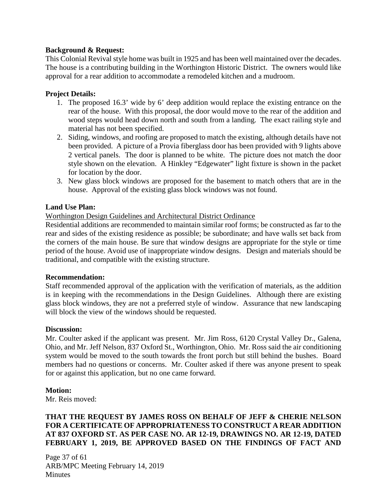## **Background & Request:**

This Colonial Revival style home was built in 1925 and has been well maintained over the decades. The house is a contributing building in the Worthington Historic District. The owners would like approval for a rear addition to accommodate a remodeled kitchen and a mudroom.

### **Project Details:**

- 1. The proposed 16.3' wide by 6' deep addition would replace the existing entrance on the rear of the house. With this proposal, the door would move to the rear of the addition and wood steps would head down north and south from a landing. The exact railing style and material has not been specified.
- 2. Siding, windows, and roofing are proposed to match the existing, although details have not been provided. A picture of a Provia fiberglass door has been provided with 9 lights above 2 vertical panels. The door is planned to be white. The picture does not match the door style shown on the elevation. A Hinkley "Edgewater" light fixture is shown in the packet for location by the door.
- 3. New glass block windows are proposed for the basement to match others that are in the house. Approval of the existing glass block windows was not found.

#### **Land Use Plan:**

#### Worthington Design Guidelines and Architectural District Ordinance

Residential additions are recommended to maintain similar roof forms; be constructed as far to the rear and sides of the existing residence as possible; be subordinate; and have walls set back from the corners of the main house. Be sure that window designs are appropriate for the style or time period of the house. Avoid use of inappropriate window designs. Design and materials should be traditional, and compatible with the existing structure.

#### **Recommendation:**

Staff recommended approval of the application with the verification of materials, as the addition is in keeping with the recommendations in the Design Guidelines. Although there are existing glass block windows, they are not a preferred style of window. Assurance that new landscaping will block the view of the windows should be requested.

#### **Discussion:**

Mr. Coulter asked if the applicant was present. Mr. Jim Ross, 6120 Crystal Valley Dr., Galena, Ohio, and Mr. Jeff Nelson, 837 Oxford St., Worthington, Ohio. Mr. Ross said the air conditioning system would be moved to the south towards the front porch but still behind the bushes. Board members had no questions or concerns. Mr. Coulter asked if there was anyone present to speak for or against this application, but no one came forward.

#### **Motion:**

Mr. Reis moved:

## **THAT THE REQUEST BY JAMES ROSS ON BEHALF OF JEFF & CHERIE NELSON FOR A CERTIFICATE OF APPROPRIATENESS TO CONSTRUCT A REAR ADDITION AT 837 OXFORD ST. AS PER CASE NO. AR 12-19, DRAWINGS NO. AR 12-19, DATED FEBRUARY 1, 2019, BE APPROVED BASED ON THE FINDINGS OF FACT AND**

Page 37 of 61 ARB/MPC Meeting February 14, 2019 **Minutes**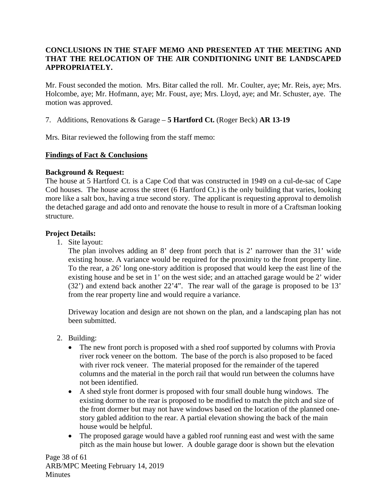# **CONCLUSIONS IN THE STAFF MEMO AND PRESENTED AT THE MEETING AND THAT THE RELOCATION OF THE AIR CONDITIONING UNIT BE LANDSCAPED APPROPRIATELY.**

Mr. Foust seconded the motion. Mrs. Bitar called the roll. Mr. Coulter, aye; Mr. Reis, aye; Mrs. Holcombe, aye; Mr. Hofmann, aye; Mr. Foust, aye; Mrs. Lloyd, aye; and Mr. Schuster, aye. The motion was approved.

7. Additions, Renovations & Garage – **5 Hartford Ct.** (Roger Beck) **AR 13-19**

Mrs. Bitar reviewed the following from the staff memo:

# **Findings of Fact & Conclusions**

# **Background & Request:**

The house at 5 Hartford Ct. is a Cape Cod that was constructed in 1949 on a cul-de-sac of Cape Cod houses. The house across the street (6 Hartford Ct.) is the only building that varies, looking more like a salt box, having a true second story. The applicant is requesting approval to demolish the detached garage and add onto and renovate the house to result in more of a Craftsman looking structure.

# **Project Details:**

1. Site layout:

The plan involves adding an 8' deep front porch that is 2' narrower than the 31' wide existing house. A variance would be required for the proximity to the front property line. To the rear, a 26' long one-story addition is proposed that would keep the east line of the existing house and be set in 1' on the west side; and an attached garage would be 2' wider (32') and extend back another 22'4". The rear wall of the garage is proposed to be 13' from the rear property line and would require a variance.

Driveway location and design are not shown on the plan, and a landscaping plan has not been submitted.

- 2. Building:
	- The new front porch is proposed with a shed roof supported by columns with Provia river rock veneer on the bottom. The base of the porch is also proposed to be faced with river rock veneer. The material proposed for the remainder of the tapered columns and the material in the porch rail that would run between the columns have not been identified.
	- A shed style front dormer is proposed with four small double hung windows. The existing dormer to the rear is proposed to be modified to match the pitch and size of the front dormer but may not have windows based on the location of the planned onestory gabled addition to the rear. A partial elevation showing the back of the main house would be helpful.
	- The proposed garage would have a gabled roof running east and west with the same pitch as the main house but lower. A double garage door is shown but the elevation

Page 38 of 61 ARB/MPC Meeting February 14, 2019 **Minutes**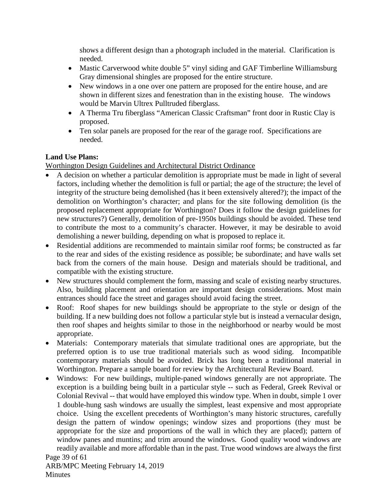shows a different design than a photograph included in the material. Clarification is needed.

- Mastic Carverwood white double 5" vinyl siding and GAF Timberline Williamsburg Gray dimensional shingles are proposed for the entire structure.
- New windows in a one over one pattern are proposed for the entire house, and are shown in different sizes and fenestration than in the existing house. The windows would be Marvin Ultrex Pulltruded fiberglass.
- A Therma Tru fiberglass "American Classic Craftsman" front door in Rustic Clay is proposed.
- Ten solar panels are proposed for the rear of the garage roof. Specifications are needed.

# **Land Use Plans:**

Worthington Design Guidelines and Architectural District Ordinance

- A decision on whether a particular demolition is appropriate must be made in light of several factors, including whether the demolition is full or partial; the age of the structure; the level of integrity of the structure being demolished (has it been extensively altered?); the impact of the demolition on Worthington's character; and plans for the site following demolition (is the proposed replacement appropriate for Worthington? Does it follow the design guidelines for new structures?) Generally, demolition of pre-1950s buildings should be avoided. These tend to contribute the most to a community's character. However, it may be desirable to avoid demolishing a newer building, depending on what is proposed to replace it.
- Residential additions are recommended to maintain similar roof forms; be constructed as far to the rear and sides of the existing residence as possible; be subordinate; and have walls set back from the corners of the main house. Design and materials should be traditional, and compatible with the existing structure.
- New structures should complement the form, massing and scale of existing nearby structures. Also, building placement and orientation are important design considerations. Most main entrances should face the street and garages should avoid facing the street.
- Roof: Roof shapes for new buildings should be appropriate to the style or design of the building. If a new building does not follow a particular style but is instead a vernacular design, then roof shapes and heights similar to those in the neighborhood or nearby would be most appropriate.
- Materials: Contemporary materials that simulate traditional ones are appropriate, but the preferred option is to use true traditional materials such as wood siding. Incompatible contemporary materials should be avoided. Brick has long been a traditional material in Worthington. Prepare a sample board for review by the Architectural Review Board.
- Page 39 of 61 • Windows: For new buildings, multiple-paned windows generally are not appropriate. The exception is a building being built in a particular style -- such as Federal, Greek Revival or Colonial Revival -- that would have employed this window type. When in doubt, simple 1 over 1 double-hung sash windows are usually the simplest, least expensive and most appropriate choice. Using the excellent precedents of Worthington's many historic structures, carefully design the pattern of window openings; window sizes and proportions (they must be appropriate for the size and proportions of the wall in which they are placed); pattern of window panes and muntins; and trim around the windows. Good quality wood windows are readily available and more affordable than in the past. True wood windows are always the first

ARB/MPC Meeting February 14, 2019 **Minutes**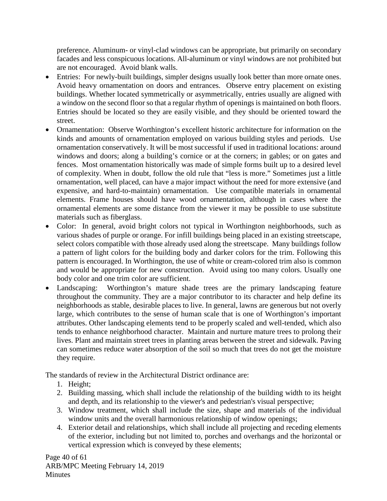preference. Aluminum- or vinyl-clad windows can be appropriate, but primarily on secondary facades and less conspicuous locations. All-aluminum or vinyl windows are not prohibited but are not encouraged. Avoid blank walls.

- Entries: For newly-built buildings, simpler designs usually look better than more ornate ones. Avoid heavy ornamentation on doors and entrances. Observe entry placement on existing buildings. Whether located symmetrically or asymmetrically, entries usually are aligned with a window on the second floor so that a regular rhythm of openings is maintained on both floors. Entries should be located so they are easily visible, and they should be oriented toward the street.
- Ornamentation: Observe Worthington's excellent historic architecture for information on the kinds and amounts of ornamentation employed on various building styles and periods. Use ornamentation conservatively. It will be most successful if used in traditional locations: around windows and doors; along a building's cornice or at the corners; in gables; or on gates and fences. Most ornamentation historically was made of simple forms built up to a desired level of complexity. When in doubt, follow the old rule that "less is more." Sometimes just a little ornamentation, well placed, can have a major impact without the need for more extensive (and expensive, and hard-to-maintain) ornamentation. Use compatible materials in ornamental elements. Frame houses should have wood ornamentation, although in cases where the ornamental elements are some distance from the viewer it may be possible to use substitute materials such as fiberglass.
- Color: In general, avoid bright colors not typical in Worthington neighborhoods, such as various shades of purple or orange. For infill buildings being placed in an existing streetscape, select colors compatible with those already used along the streetscape. Many buildings follow a pattern of light colors for the building body and darker colors for the trim. Following this pattern is encouraged. In Worthington, the use of white or cream-colored trim also is common and would be appropriate for new construction. Avoid using too many colors. Usually one body color and one trim color are sufficient.
- Landscaping: Worthington's mature shade trees are the primary landscaping feature throughout the community. They are a major contributor to its character and help define its neighborhoods as stable, desirable places to live. In general, lawns are generous but not overly large, which contributes to the sense of human scale that is one of Worthington's important attributes. Other landscaping elements tend to be properly scaled and well-tended, which also tends to enhance neighborhood character. Maintain and nurture mature trees to prolong their lives. Plant and maintain street trees in planting areas between the street and sidewalk. Paving can sometimes reduce water absorption of the soil so much that trees do not get the moisture they require.

The standards of review in the Architectural District ordinance are:

- 1. Height;
- 2. Building massing, which shall include the relationship of the building width to its height and depth, and its relationship to the viewer's and pedestrian's visual perspective;
- 3. Window treatment, which shall include the size, shape and materials of the individual window units and the overall harmonious relationship of window openings;
- 4. Exterior detail and relationships, which shall include all projecting and receding elements of the exterior, including but not limited to, porches and overhangs and the horizontal or vertical expression which is conveyed by these elements;

Page 40 of 61 ARB/MPC Meeting February 14, 2019 **Minutes**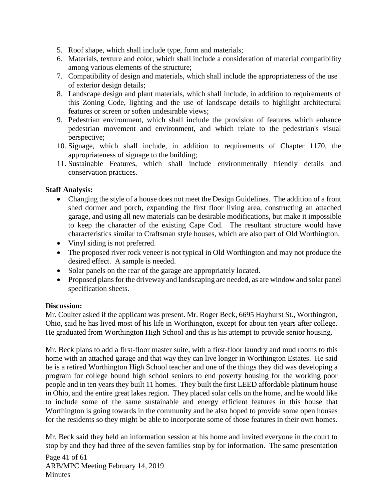- 5. Roof shape, which shall include type, form and materials;
- 6. Materials, texture and color, which shall include a consideration of material compatibility among various elements of the structure;
- 7. Compatibility of design and materials, which shall include the appropriateness of the use of exterior design details;
- 8. Landscape design and plant materials, which shall include, in addition to requirements of this Zoning Code, lighting and the use of landscape details to highlight architectural features or screen or soften undesirable views;
- 9. Pedestrian environment, which shall include the provision of features which enhance pedestrian movement and environment, and which relate to the pedestrian's visual perspective;
- 10. Signage, which shall include, in addition to requirements of Chapter 1170, the appropriateness of signage to the building;
- 11. Sustainable Features, which shall include environmentally friendly details and conservation practices.

## **Staff Analysis:**

- Changing the style of a house does not meet the Design Guidelines.The addition of a front shed dormer and porch, expanding the first floor living area, constructing an attached garage, and using all new materials can be desirable modifications, but make it impossible to keep the character of the existing Cape Cod. The resultant structure would have characteristics similar to Craftsman style houses, which are also part of Old Worthington.
- Vinyl siding is not preferred.
- The proposed river rock veneer is not typical in Old Worthington and may not produce the desired effect. A sample is needed.
- Solar panels on the rear of the garage are appropriately located.
- Proposed plans for the driveway and landscaping are needed, as are window and solar panel specification sheets.

#### **Discussion:**

Mr. Coulter asked if the applicant was present. Mr. Roger Beck, 6695 Hayhurst St., Worthington, Ohio, said he has lived most of his life in Worthington, except for about ten years after college. He graduated from Worthington High School and this is his attempt to provide senior housing.

Mr. Beck plans to add a first-floor master suite, with a first-floor laundry and mud rooms to this home with an attached garage and that way they can live longer in Worthington Estates. He said he is a retired Worthington High School teacher and one of the things they did was developing a program for college bound high school seniors to end poverty housing for the working poor people and in ten years they built 11 homes. They built the first LEED affordable platinum house in Ohio, and the entire great lakes region. They placed solar cells on the home, and he would like to include some of the same sustainable and energy efficient features in this house that Worthington is going towards in the community and he also hoped to provide some open houses for the residents so they might be able to incorporate some of those features in their own homes.

Mr. Beck said they held an information session at his home and invited everyone in the court to stop by and they had three of the seven families stop by for information. The same presentation

Page 41 of 61 ARB/MPC Meeting February 14, 2019 **Minutes**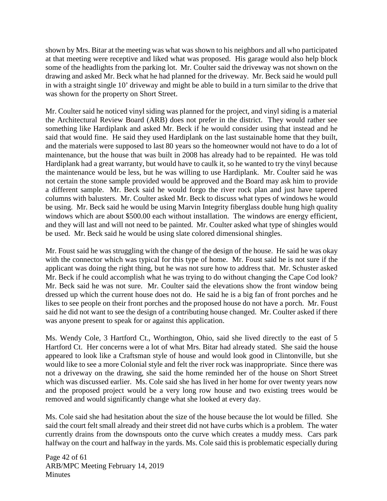shown by Mrs. Bitar at the meeting was what was shown to his neighbors and all who participated at that meeting were receptive and liked what was proposed. His garage would also help block some of the headlights from the parking lot. Mr. Coulter said the driveway was not shown on the drawing and asked Mr. Beck what he had planned for the driveway. Mr. Beck said he would pull in with a straight single 10' driveway and might be able to build in a turn similar to the drive that was shown for the property on Short Street.

Mr. Coulter said he noticed vinyl siding was planned for the project, and vinyl siding is a material the Architectural Review Board (ARB) does not prefer in the district. They would rather see something like Hardiplank and asked Mr. Beck if he would consider using that instead and he said that would fine. He said they used Hardiplank on the last sustainable home that they built, and the materials were supposed to last 80 years so the homeowner would not have to do a lot of maintenance, but the house that was built in 2008 has already had to be repainted. He was told Hardiplank had a great warranty, but would have to caulk it, so he wanted to try the vinyl because the maintenance would be less, but he was willing to use Hardiplank. Mr. Coulter said he was not certain the stone sample provided would be approved and the Board may ask him to provide a different sample. Mr. Beck said he would forgo the river rock plan and just have tapered columns with balusters. Mr. Coulter asked Mr. Beck to discuss what types of windows he would be using. Mr. Beck said he would be using Marvin Integrity fiberglass double hung high quality windows which are about \$500.00 each without installation. The windows are energy efficient, and they will last and will not need to be painted. Mr. Coulter asked what type of shingles would be used. Mr. Beck said he would be using slate colored dimensional shingles.

Mr. Foust said he was struggling with the change of the design of the house. He said he was okay with the connector which was typical for this type of home. Mr. Foust said he is not sure if the applicant was doing the right thing, but he was not sure how to address that. Mr. Schuster asked Mr. Beck if he could accomplish what he was trying to do without changing the Cape Cod look? Mr. Beck said he was not sure. Mr. Coulter said the elevations show the front window being dressed up which the current house does not do. He said he is a big fan of front porches and he likes to see people on their front porches and the proposed house do not have a porch. Mr. Foust said he did not want to see the design of a contributing house changed. Mr. Coulter asked if there was anyone present to speak for or against this application.

Ms. Wendy Cole, 3 Hartford Ct., Worthington, Ohio, said she lived directly to the east of 5 Hartford Ct. Her concerns were a lot of what Mrs. Bitar had already stated. She said the house appeared to look like a Craftsman style of house and would look good in Clintonville, but she would like to see a more Colonial style and felt the river rock was inappropriate. Since there was not a driveway on the drawing, she said the home reminded her of the house on Short Street which was discussed earlier. Ms. Cole said she has lived in her home for over twenty years now and the proposed project would be a very long row house and two existing trees would be removed and would significantly change what she looked at every day.

Ms. Cole said she had hesitation about the size of the house because the lot would be filled. She said the court felt small already and their street did not have curbs which is a problem. The water currently drains from the downspouts onto the curve which creates a muddy mess. Cars park halfway on the court and halfway in the yards. Ms. Cole said this is problematic especially during

Page 42 of 61 ARB/MPC Meeting February 14, 2019 **Minutes**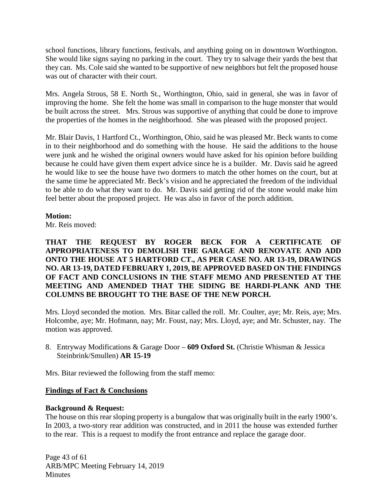school functions, library functions, festivals, and anything going on in downtown Worthington. She would like signs saying no parking in the court. They try to salvage their yards the best that they can. Ms. Cole said she wanted to be supportive of new neighbors but felt the proposed house was out of character with their court.

Mrs. Angela Strous, 58 E. North St., Worthington, Ohio, said in general, she was in favor of improving the home. She felt the home was small in comparison to the huge monster that would be built across the street. Mrs. Strous was supportive of anything that could be done to improve the properties of the homes in the neighborhood. She was pleased with the proposed project.

Mr. Blair Davis, 1 Hartford Ct., Worthington, Ohio, said he was pleased Mr. Beck wants to come in to their neighborhood and do something with the house. He said the additions to the house were junk and he wished the original owners would have asked for his opinion before building because he could have given them expert advice since he is a builder. Mr. Davis said he agreed he would like to see the house have two dormers to match the other homes on the court, but at the same time he appreciated Mr. Beck's vision and he appreciated the freedom of the individual to be able to do what they want to do. Mr. Davis said getting rid of the stone would make him feel better about the proposed project. He was also in favor of the porch addition.

### **Motion:**

Mr. Reis moved:

**THAT THE REQUEST BY ROGER BECK FOR A CERTIFICATE OF APPROPRIATENESS TO DEMOLISH THE GARAGE AND RENOVATE AND ADD ONTO THE HOUSE AT 5 HARTFORD CT., AS PER CASE NO. AR 13-19, DRAWINGS NO. AR 13-19, DATED FEBRUARY 1, 2019, BE APPROVED BASED ON THE FINDINGS OF FACT AND CONCLUSIONS IN THE STAFF MEMO AND PRESENTED AT THE MEETING AND AMENDED THAT THE SIDING BE HARDI-PLANK AND THE COLUMNS BE BROUGHT TO THE BASE OF THE NEW PORCH.** 

Mrs. Lloyd seconded the motion. Mrs. Bitar called the roll. Mr. Coulter, aye; Mr. Reis, aye; Mrs. Holcombe, aye; Mr. Hofmann, nay; Mr. Foust, nay; Mrs. Lloyd, aye; and Mr. Schuster, nay. The motion was approved.

8. Entryway Modifications & Garage Door – **609 Oxford St.** (Christie Whisman & Jessica Steinbrink/Smullen) **AR 15-19**

Mrs. Bitar reviewed the following from the staff memo:

## **Findings of Fact & Conclusions**

## **Background & Request:**

The house on this rear sloping property is a bungalow that was originally built in the early 1900's. In 2003, a two-story rear addition was constructed, and in 2011 the house was extended further to the rear. This is a request to modify the front entrance and replace the garage door.

Page 43 of 61 ARB/MPC Meeting February 14, 2019 **Minutes**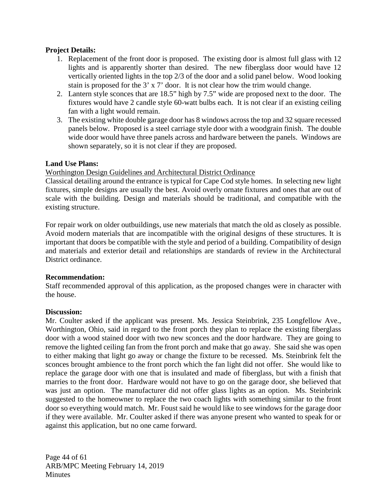## **Project Details:**

- 1. Replacement of the front door is proposed. The existing door is almost full glass with 12 lights and is apparently shorter than desired. The new fiberglass door would have 12 vertically oriented lights in the top 2/3 of the door and a solid panel below. Wood looking stain is proposed for the 3' x 7' door. It is not clear how the trim would change.
- 2. Lantern style sconces that are 18.5" high by 7.5" wide are proposed next to the door. The fixtures would have 2 candle style 60-watt bulbs each. It is not clear if an existing ceiling fan with a light would remain.
- 3. The existing white double garage door has 8 windows across the top and 32 square recessed panels below. Proposed is a steel carriage style door with a woodgrain finish. The double wide door would have three panels across and hardware between the panels. Windows are shown separately, so it is not clear if they are proposed.

### **Land Use Plans:**

#### Worthington Design Guidelines and Architectural District Ordinance

Classical detailing around the entrance is typical for Cape Cod style homes. In selecting new light fixtures, simple designs are usually the best. Avoid overly ornate fixtures and ones that are out of scale with the building. Design and materials should be traditional, and compatible with the existing structure.

For repair work on older outbuildings, use new materials that match the old as closely as possible. Avoid modern materials that are incompatible with the original designs of these structures. It is important that doors be compatible with the style and period of a building. Compatibility of design and materials and exterior detail and relationships are standards of review in the Architectural District ordinance.

#### **Recommendation:**

Staff recommended approval of this application, as the proposed changes were in character with the house.

#### **Discussion:**

Mr. Coulter asked if the applicant was present. Ms. Jessica Steinbrink, 235 Longfellow Ave., Worthington, Ohio, said in regard to the front porch they plan to replace the existing fiberglass door with a wood stained door with two new sconces and the door hardware. They are going to remove the lighted ceiling fan from the front porch and make that go away. She said she was open to either making that light go away or change the fixture to be recessed. Ms. Steinbrink felt the sconces brought ambience to the front porch which the fan light did not offer. She would like to replace the garage door with one that is insulated and made of fiberglass, but with a finish that marries to the front door. Hardware would not have to go on the garage door, she believed that was just an option. The manufacturer did not offer glass lights as an option. Ms. Steinbrink suggested to the homeowner to replace the two coach lights with something similar to the front door so everything would match. Mr. Foust said he would like to see windows for the garage door if they were available. Mr. Coulter asked if there was anyone present who wanted to speak for or against this application, but no one came forward.

Page 44 of 61 ARB/MPC Meeting February 14, 2019 **Minutes**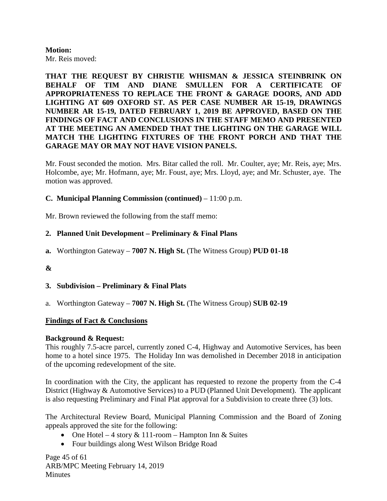#### **Motion:** Mr. Reis moved:

**THAT THE REQUEST BY CHRISTIE WHISMAN & JESSICA STEINBRINK ON BEHALF OF TIM AND DIANE SMULLEN FOR A CERTIFICATE OF APPROPRIATENESS TO REPLACE THE FRONT & GARAGE DOORS, AND ADD LIGHTING AT 609 OXFORD ST. AS PER CASE NUMBER AR 15-19, DRAWINGS NUMBER AR 15-19, DATED FEBRUARY 1, 2019 BE APPROVED, BASED ON THE FINDINGS OF FACT AND CONCLUSIONS IN THE STAFF MEMO AND PRESENTED AT THE MEETING AN AMENDED THAT THE LIGHTING ON THE GARAGE WILL MATCH THE LIGHTING FIXTURES OF THE FRONT PORCH AND THAT THE GARAGE MAY OR MAY NOT HAVE VISION PANELS.**

Mr. Foust seconded the motion. Mrs. Bitar called the roll. Mr. Coulter, aye; Mr. Reis, aye; Mrs. Holcombe, aye; Mr. Hofmann, aye; Mr. Foust, aye; Mrs. Lloyd, aye; and Mr. Schuster, aye. The motion was approved.

### **C. Municipal Planning Commission (continued)** – 11:00 p.m.

Mr. Brown reviewed the following from the staff memo:

### **2. Planned Unit Development – Preliminary & Final Plans**

**a.** Worthington Gateway – **7007 N. High St.** (The Witness Group) **PUD 01-18**

#### **&**

- **3. Subdivision – Preliminary & Final Plats**
- a. Worthington Gateway **7007 N. High St.** (The Witness Group) **SUB 02-19**

#### **Findings of Fact & Conclusions**

#### **Background & Request:**

This roughly 7.5-acre parcel, currently zoned C-4, Highway and Automotive Services, has been home to a hotel since 1975. The Holiday Inn was demolished in December 2018 in anticipation of the upcoming redevelopment of the site.

In coordination with the City, the applicant has requested to rezone the property from the C-4 District (Highway & Automotive Services) to a PUD (Planned Unit Development). The applicant is also requesting Preliminary and Final Plat approval for a Subdivision to create three (3) lots.

The Architectural Review Board, Municipal Planning Commission and the Board of Zoning appeals approved the site for the following:

- One Hotel 4 story  $& 111$ -room Hampton Inn  $&$  Suites
- Four buildings along West Wilson Bridge Road

Page 45 of 61 ARB/MPC Meeting February 14, 2019 **Minutes**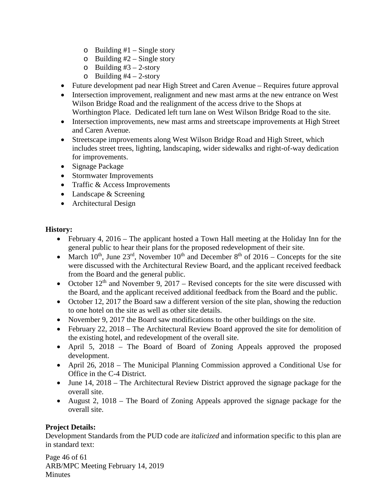- $\circ$  Building #1 Single story
- $\circ$  Building #2 Single story
- o Building  $#3 2$ -story
- $\circ$  Building #4 2-story
- Future development pad near High Street and Caren Avenue Requires future approval
- Intersection improvement, realignment and new mast arms at the new entrance on West Wilson Bridge Road and the realignment of the access drive to the Shops at Worthington Place. Dedicated left turn lane on West Wilson Bridge Road to the site.
- Intersection improvements, new mast arms and streetscape improvements at High Street and Caren Avenue.
- Streetscape improvements along West Wilson Bridge Road and High Street, which includes street trees, lighting, landscaping, wider sidewalks and right-of-way dedication for improvements.
- Signage Package
- Stormwater Improvements
- Traffic & Access Improvements
- Landscape & Screening
- Architectural Design

## **History:**

- February 4, 2016 The applicant hosted a Town Hall meeting at the Holiday Inn for the general public to hear their plans for the proposed redevelopment of their site.
- March  $10^{th}$ , June  $23^{rd}$ , November  $10^{th}$  and December  $8^{th}$  of  $2016$  Concepts for the site were discussed with the Architectural Review Board, and the applicant received feedback from the Board and the general public.
- October  $12<sup>th</sup>$  and November 9, 2017 Revised concepts for the site were discussed with the Board, and the applicant received additional feedback from the Board and the public.
- October 12, 2017 the Board saw a different version of the site plan, showing the reduction to one hotel on the site as well as other site details.
- November 9, 2017 the Board saw modifications to the other buildings on the site.
- February 22, 2018 The Architectural Review Board approved the site for demolition of the existing hotel, and redevelopment of the overall site.
- April 5, 2018 The Board of Board of Zoning Appeals approved the proposed development.
- April 26, 2018 The Municipal Planning Commission approved a Conditional Use for Office in the C-4 District.
- June 14, 2018 The Architectural Review District approved the signage package for the overall site.
- August 2, 1018 The Board of Zoning Appeals approved the signage package for the overall site.

## **Project Details:**

Development Standards from the PUD code are *italicized* and information specific to this plan are in standard text:

Page 46 of 61 ARB/MPC Meeting February 14, 2019 **Minutes**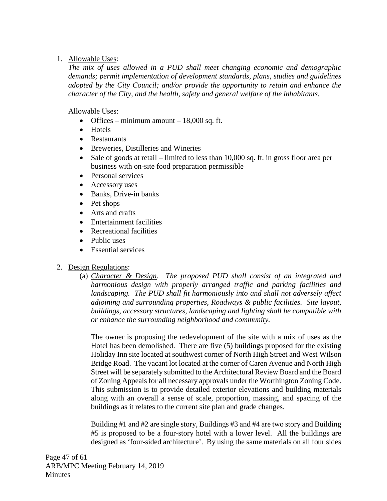## 1. Allowable Uses:

*The mix of uses allowed in a PUD shall meet changing economic and demographic demands; permit implementation of development standards, plans, studies and guidelines adopted by the City Council; and/or provide the opportunity to retain and enhance the character of the City, and the health, safety and general welfare of the inhabitants.* 

Allowable Uses:

- Offices minimum amount  $18,000$  sq. ft.
- Hotels
- Restaurants
- Breweries, Distilleries and Wineries
- Sale of goods at retail limited to less than  $10,000$  sq. ft. in gross floor area per business with on-site food preparation permissible
- Personal services
- Accessory uses
- Banks, Drive-in banks
- Pet shops
- Arts and crafts
- Entertainment facilities
- Recreational facilities
- Public uses
- Essential services

## 2. Design Regulations:

(a) *Character & Design. The proposed PUD shall consist of an integrated and harmonious design with properly arranged traffic and parking facilities and landscaping. The PUD shall fit harmoniously into and shall not adversely affect adjoining and surrounding properties, Roadways & public facilities. Site layout, buildings, accessory structures, landscaping and lighting shall be compatible with or enhance the surrounding neighborhood and community.*

The owner is proposing the redevelopment of the site with a mix of uses as the Hotel has been demolished. There are five (5) buildings proposed for the existing Holiday Inn site located at southwest corner of North High Street and West Wilson Bridge Road. The vacant lot located at the corner of Caren Avenue and North High Street will be separately submitted to the Architectural Review Board and the Board of Zoning Appeals for all necessary approvals under the Worthington Zoning Code. This submission is to provide detailed exterior elevations and building materials along with an overall a sense of scale, proportion, massing, and spacing of the buildings as it relates to the current site plan and grade changes.

Building #1 and #2 are single story, Buildings #3 and #4 are two story and Building #5 is proposed to be a four-story hotel with a lower level. All the buildings are designed as 'four-sided architecture'. By using the same materials on all four sides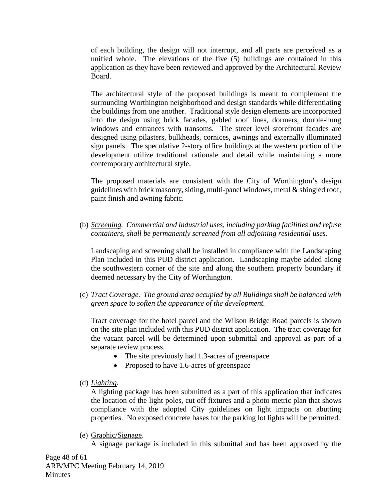of each building, the design will not interrupt, and all parts are perceived as a unified whole. The elevations of the five (5) buildings are contained in this application as they have been reviewed and approved by the Architectural Review Board.

The architectural style of the proposed buildings is meant to complement the surrounding Worthington neighborhood and design standards while differentiating the buildings from one another. Traditional style design elements are incorporated into the design using brick facades, gabled roof lines, dormers, double-hung windows and entrances with transoms. The street level storefront facades are designed using pilasters, bulkheads, cornices, awnings and externally illuminated sign panels. The speculative 2-story office buildings at the western portion of the development utilize traditional rationale and detail while maintaining a more contemporary architectural style.

The proposed materials are consistent with the City of Worthington's design guidelines with brick masonry, siding, multi-panel windows, metal & shingled roof, paint finish and awning fabric.

(b) *Screening. Commercial and industrial uses, including parking facilities and refuse containers, shall be permanently screened from all adjoining residential uses.*

Landscaping and screening shall be installed in compliance with the Landscaping Plan included in this PUD district application. Landscaping maybe added along the southwestern corner of the site and along the southern property boundary if deemed necessary by the City of Worthington.

(c) *Tract Coverage. The ground area occupied by all Buildings shall be balanced with green space to soften the appearance of the development.* 

Tract coverage for the hotel parcel and the Wilson Bridge Road parcels is shown on the site plan included with this PUD district application. The tract coverage for the vacant parcel will be determined upon submittal and approval as part of a separate review process.

- The site previously had 1.3-acres of greenspace
- Proposed to have 1.6-acres of greenspace
- (d) *Lighting*.

A lighting package has been submitted as a part of this application that indicates the location of the light poles, cut off fixtures and a photo metric plan that shows compliance with the adopted City guidelines on light impacts on abutting properties. No exposed concrete bases for the parking lot lights will be permitted.

(e) Graphic/Signage.

A signage package is included in this submittal and has been approved by the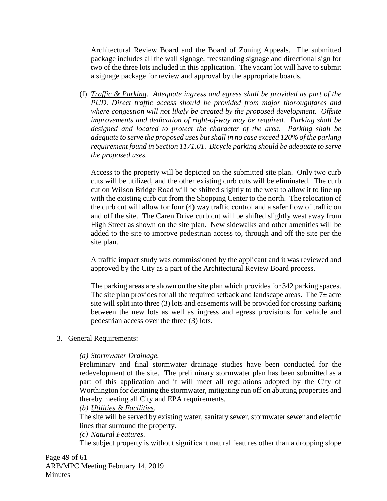Architectural Review Board and the Board of Zoning Appeals. The submitted package includes all the wall signage, freestanding signage and directional sign for two of the three lots included in this application. The vacant lot will have to submit a signage package for review and approval by the appropriate boards.

(f) *Traffic & Parking*. *Adequate ingress and egress shall be provided as part of the PUD. Direct traffic access should be provided from major thoroughfares and where congestion will not likely be created by the proposed development. Offsite improvements and dedication of right-of-way may be required. Parking shall be designed and located to protect the character of the area. Parking shall be adequate to serve the proposed uses but shall in no case exceed 120% of the parking requirement found in Section 1171.01. Bicycle parking should be adequate to serve the proposed uses.*

Access to the property will be depicted on the submitted site plan. Only two curb cuts will be utilized, and the other existing curb cuts will be eliminated. The curb cut on Wilson Bridge Road will be shifted slightly to the west to allow it to line up with the existing curb cut from the Shopping Center to the north. The relocation of the curb cut will allow for four (4) way traffic control and a safer flow of traffic on and off the site. The Caren Drive curb cut will be shifted slightly west away from High Street as shown on the site plan. New sidewalks and other amenities will be added to the site to improve pedestrian access to, through and off the site per the site plan.

A traffic impact study was commissioned by the applicant and it was reviewed and approved by the City as a part of the Architectural Review Board process.

The parking areas are shown on the site plan which provides for 342 parking spaces. The site plan provides for all the required setback and landscape areas. The  $7\pm$  acre site will split into three (3) lots and easements will be provided for crossing parking between the new lots as well as ingress and egress provisions for vehicle and pedestrian access over the three (3) lots.

## 3. General Requirements:

#### *(a) Stormwater Drainage.*

Preliminary and final stormwater drainage studies have been conducted for the redevelopment of the site. The preliminary stormwater plan has been submitted as a part of this application and it will meet all regulations adopted by the City of Worthington for detaining the stormwater, mitigating run off on abutting properties and thereby meeting all City and EPA requirements.

#### *(b) Utilities & Facilities.*

The site will be served by existing water, sanitary sewer, stormwater sewer and electric lines that surround the property.

## *(c) Natural Features.*

The subject property is without significant natural features other than a dropping slope

Page 49 of 61 ARB/MPC Meeting February 14, 2019 **Minutes**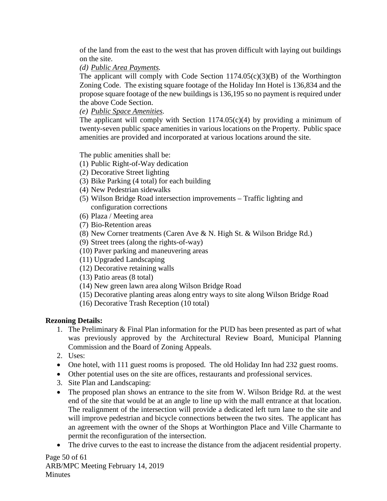of the land from the east to the west that has proven difficult with laying out buildings on the site.

# *(d) Public Area Payments.*

The applicant will comply with Code Section  $1174.05(c)(3)(B)$  of the Worthington Zoning Code. The existing square footage of the Holiday Inn Hotel is 136,834 and the propose square footage of the new buildings is 136,195 so no payment is required under the above Code Section.

# *(e) Public Space Amenities.*

The applicant will comply with Section  $1174.05(c)(4)$  by providing a minimum of twenty-seven public space amenities in various locations on the Property. Public space amenities are provided and incorporated at various locations around the site.

# The public amenities shall be:

- (1) Public Right-of-Way dedication
- (2) Decorative Street lighting
- (3) Bike Parking (4 total) for each building
- (4) New Pedestrian sidewalks
- (5) Wilson Bridge Road intersection improvements Traffic lighting and configuration corrections
- (6) Plaza / Meeting area
- (7) Bio-Retention areas
- (8) New Corner treatments (Caren Ave & N. High St. & Wilson Bridge Rd.)
- (9) Street trees (along the rights-of-way)
- (10) Paver parking and maneuvering areas
- (11) Upgraded Landscaping
- (12) Decorative retaining walls
- (13) Patio areas (8 total)
- (14) New green lawn area along Wilson Bridge Road
- (15) Decorative planting areas along entry ways to site along Wilson Bridge Road
- (16) Decorative Trash Reception (10 total)

# **Rezoning Details:**

- 1. The Preliminary & Final Plan information for the PUD has been presented as part of what was previously approved by the Architectural Review Board, Municipal Planning Commission and the Board of Zoning Appeals.
- 2. Uses:
- One hotel, with 111 guest rooms is proposed. The old Holiday Inn had 232 guest rooms.
- Other potential uses on the site are offices, restaurants and professional services.
- 3. Site Plan and Landscaping:
- The proposed plan shows an entrance to the site from W. Wilson Bridge Rd. at the west end of the site that would be at an angle to line up with the mall entrance at that location. The realignment of the intersection will provide a dedicated left turn lane to the site and will improve pedestrian and bicycle connections between the two sites. The applicant has an agreement with the owner of the Shops at Worthington Place and Ville Charmante to permit the reconfiguration of the intersection.
- The drive curves to the east to increase the distance from the adjacent residential property.

Page 50 of 61 ARB/MPC Meeting February 14, 2019 **Minutes**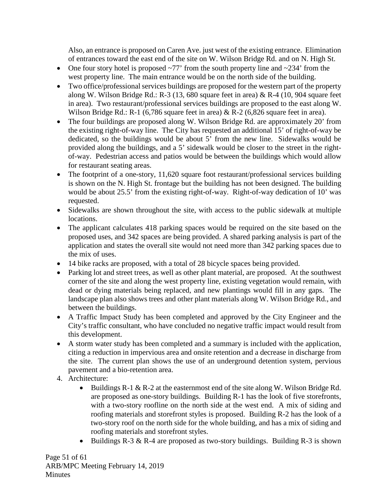Also, an entrance is proposed on Caren Ave. just west of the existing entrance. Elimination of entrances toward the east end of the site on W. Wilson Bridge Rd. and on N. High St.

- One four story hotel is proposed  $\sim$ 77' from the south property line and  $\sim$ 234' from the west property line. The main entrance would be on the north side of the building.
- Two office/professional services buildings are proposed for the western part of the property along W. Wilson Bridge Rd.: R-3 (13, 680 square feet in area) & R-4 (10, 904 square feet in area). Two restaurant/professional services buildings are proposed to the east along W. Wilson Bridge Rd.: R-1 (6,786 square feet in area) & R-2 (6,826 square feet in area).
- The four buildings are proposed along W. Wilson Bridge Rd. are approximately 20' from the existing right-of-way line. The City has requested an additional 15' of right-of-way be dedicated, so the buildings would be about 5' from the new line. Sidewalks would be provided along the buildings, and a 5' sidewalk would be closer to the street in the rightof-way. Pedestrian access and patios would be between the buildings which would allow for restaurant seating areas.
- The footprint of a one-story, 11,620 square foot restaurant/professional services building is shown on the N. High St. frontage but the building has not been designed. The building would be about 25.5' from the existing right-of-way. Right-of-way dedication of 10' was requested.
- Sidewalks are shown throughout the site, with access to the public sidewalk at multiple locations.
- The applicant calculates 418 parking spaces would be required on the site based on the proposed uses, and 342 spaces are being provided. A shared parking analysis is part of the application and states the overall site would not need more than 342 parking spaces due to the mix of uses.
- 14 bike racks are proposed, with a total of 28 bicycle spaces being provided.
- Parking lot and street trees, as well as other plant material, are proposed. At the southwest corner of the site and along the west property line, existing vegetation would remain, with dead or dying materials being replaced, and new plantings would fill in any gaps. The landscape plan also shows trees and other plant materials along W. Wilson Bridge Rd., and between the buildings.
- A Traffic Impact Study has been completed and approved by the City Engineer and the City's traffic consultant, who have concluded no negative traffic impact would result from this development.
- A storm water study has been completed and a summary is included with the application, citing a reduction in impervious area and onsite retention and a decrease in discharge from the site. The current plan shows the use of an underground detention system, pervious pavement and a bio-retention area.
- 4. Architecture:
	- Buildings  $R-1 \& R-2$  at the easternmost end of the site along W. Wilson Bridge Rd. are proposed as one-story buildings. Building R-1 has the look of five storefronts, with a two-story roofline on the north side at the west end. A mix of siding and roofing materials and storefront styles is proposed. Building R-2 has the look of a two-story roof on the north side for the whole building, and has a mix of siding and roofing materials and storefront styles.
	- Buildings R-3 & R-4 are proposed as two-story buildings. Building R-3 is shown

Page 51 of 61 ARB/MPC Meeting February 14, 2019 **Minutes**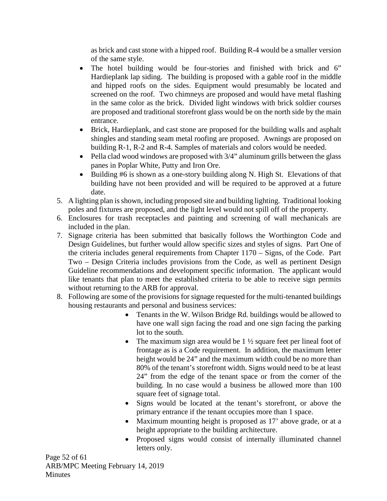as brick and cast stone with a hipped roof. Building R-4 would be a smaller version of the same style.

- The hotel building would be four-stories and finished with brick and 6" Hardieplank lap siding. The building is proposed with a gable roof in the middle and hipped roofs on the sides. Equipment would presumably be located and screened on the roof. Two chimneys are proposed and would have metal flashing in the same color as the brick. Divided light windows with brick soldier courses are proposed and traditional storefront glass would be on the north side by the main entrance.
- Brick, Hardieplank, and cast stone are proposed for the building walls and asphalt shingles and standing seam metal roofing are proposed. Awnings are proposed on building R-1, R-2 and R-4. Samples of materials and colors would be needed.
- Pella clad wood windows are proposed with 3/4" aluminum grills between the glass panes in Poplar White, Putty and Iron Ore.
- Building #6 is shown as a one-story building along N. High St. Elevations of that building have not been provided and will be required to be approved at a future date.
- 5. A lighting plan is shown, including proposed site and building lighting. Traditional looking poles and fixtures are proposed, and the light level would not spill off of the property.
- 6. Enclosures for trash receptacles and painting and screening of wall mechanicals are included in the plan.
- 7. Signage criteria has been submitted that basically follows the Worthington Code and Design Guidelines, but further would allow specific sizes and styles of signs. Part One of the criteria includes general requirements from Chapter 1170 – Signs, of the Code. Part Two – Design Criteria includes provisions from the Code, as well as pertinent Design Guideline recommendations and development specific information. The applicant would like tenants that plan to meet the established criteria to be able to receive sign permits without returning to the ARB for approval.
- 8. Following are some of the provisions for signage requested for the multi-tenanted buildings housing restaurants and personal and business services:
	- Tenants in the W. Wilson Bridge Rd. buildings would be allowed to have one wall sign facing the road and one sign facing the parking lot to the south.
	- The maximum sign area would be  $1\frac{1}{2}$  square feet per lineal foot of frontage as is a Code requirement. In addition, the maximum letter height would be 24" and the maximum width could be no more than 80% of the tenant's storefront width. Signs would need to be at least 24" from the edge of the tenant space or from the corner of the building. In no case would a business be allowed more than 100 square feet of signage total.
	- Signs would be located at the tenant's storefront, or above the primary entrance if the tenant occupies more than 1 space.
	- Maximum mounting height is proposed as 17' above grade, or at a height appropriate to the building architecture.
	- Proposed signs would consist of internally illuminated channel letters only.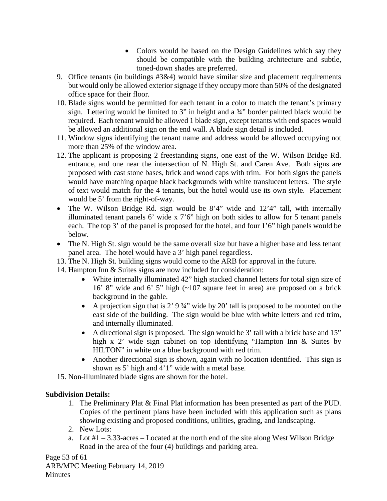- Colors would be based on the Design Guidelines which say they should be compatible with the building architecture and subtle, toned-down shades are preferred.
- 9. Office tenants (in buildings #3&4) would have similar size and placement requirements but would only be allowed exterior signage if they occupy more than 50% of the designated office space for their floor.
- 10. Blade signs would be permitted for each tenant in a color to match the tenant's primary sign. Lettering would be limited to 3" in height and a  $\frac{3}{4}$ " border painted black would be required. Each tenant would be allowed 1 blade sign, except tenants with end spaces would be allowed an additional sign on the end wall. A blade sign detail is included.
- 11. Window signs identifying the tenant name and address would be allowed occupying not more than 25% of the window area.
- 12. The applicant is proposing 2 freestanding signs, one east of the W. Wilson Bridge Rd. entrance, and one near the intersection of N. High St. and Caren Ave. Both signs are proposed with cast stone bases, brick and wood caps with trim. For both signs the panels would have matching opaque black backgrounds with white translucent letters. The style of text would match for the 4 tenants, but the hotel would use its own style.Placement would be 5' from the right-of-way.
- The W. Wilson Bridge Rd. sign would be 8'4" wide and 12'4" tall, with internally illuminated tenant panels 6' wide x 7'6" high on both sides to allow for 5 tenant panels each. The top 3' of the panel is proposed for the hotel, and four 1'6" high panels would be below.
- The N. High St. sign would be the same overall size but have a higher base and less tenant panel area. The hotel would have a 3' high panel regardless.
- 13. The N. High St. building signs would come to the ARB for approval in the future.
- 14. Hampton Inn & Suites signs are now included for consideration:
	- White internally illuminated 42" high stacked channel letters for total sign size of 16' 8" wide and 6' 5" high (~107 square feet in area) are proposed on a brick background in the gable.
	- A projection sign that is  $2'$  9  $\frac{3}{4}$ " wide by 20' tall is proposed to be mounted on the east side of the building. The sign would be blue with white letters and red trim, and internally illuminated.
	- A directional sign is proposed. The sign would be 3' tall with a brick base and 15" high x 2' wide sign cabinet on top identifying "Hampton Inn & Suites by HILTON" in white on a blue background with red trim.
	- Another directional sign is shown, again with no location identified. This sign is shown as 5' high and 4'1" wide with a metal base.
- 15. Non-illuminated blade signs are shown for the hotel.

## **Subdivision Details:**

- 1. The Preliminary Plat & Final Plat information has been presented as part of the PUD. Copies of the pertinent plans have been included with this application such as plans showing existing and proposed conditions, utilities, grading, and landscaping.
- 2. New Lots:
- a. Lot  $#1 3.33$ -acres Located at the north end of the site along West Wilson Bridge Road in the area of the four (4) buildings and parking area.

Page 53 of 61 ARB/MPC Meeting February 14, 2019 **Minutes**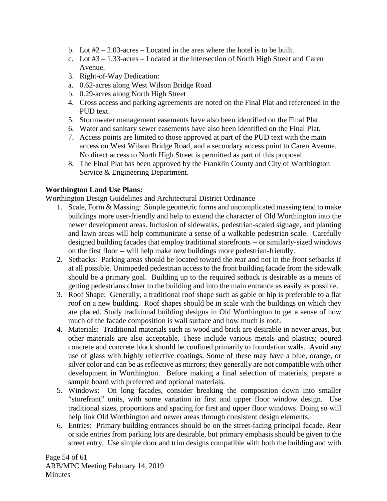- b. Lot  $#2 2.03$ -acres Located in the area where the hotel is to be built.
- c. Lot #3 1.33-acres Located at the intersection of North High Street and Caren Avenue.
- 3. Right-of-Way Dedication:
- a. 0.62-acres along West Wilson Bridge Road
- b. 0.29-acres along North High Street
- 4. Cross access and parking agreements are noted on the Final Plat and referenced in the PUD text.
- 5. Stormwater management easements have also been identified on the Final Plat.
- 6. Water and sanitary sewer easements have also been identified on the Final Plat.
- 7. Access points are limited to those approved at part of the PUD text with the main access on West Wilson Bridge Road, and a secondary access point to Caren Avenue. No direct access to North High Street is permitted as part of this proposal.
- 8. The Final Plat has been approved by the Franklin County and City of Worthington Service & Engineering Department.

# **Worthington Land Use Plans:**

Worthington Design Guidelines and Architectural District Ordinance

- 1. Scale, Form & Massing: Simple geometric forms and uncomplicated massing tend to make buildings more user-friendly and help to extend the character of Old Worthington into the newer development areas. Inclusion of sidewalks, pedestrian-scaled signage, and planting and lawn areas will help communicate a sense of a walkable pedestrian scale. Carefully designed building facades that employ traditional storefronts -- or similarly-sized windows on the first floor -- will help make new buildings more pedestrian-friendly.
- 2. Setbacks: Parking areas should be located toward the rear and not in the front setbacks if at all possible. Unimpeded pedestrian access to the front building facade from the sidewalk should be a primary goal. Building up to the required setback is desirable as a means of getting pedestrians closer to the building and into the main entrance as easily as possible.
- 3. Roof Shape: Generally, a traditional roof shape such as gable or hip is preferable to a flat roof on a new building. Roof shapes should be in scale with the buildings on which they are placed. Study traditional building designs in Old Worthington to get a sense of how much of the facade composition is wall surface and how much is roof.
- 4. Materials: Traditional materials such as wood and brick are desirable in newer areas, but other materials are also acceptable. These include various metals and plastics; poured concrete and concrete block should be confined primarily to foundation walls. Avoid any use of glass with highly reflective coatings. Some of these may have a blue, orange, or silver color and can be as reflective as mirrors; they generally are not compatible with other development in Worthington. Before making a final selection of materials, prepare a sample board with preferred and optional materials.
- 5. Windows: On long facades, consider breaking the composition down into smaller "storefront" units, with some variation in first and upper floor window design. Use traditional sizes, proportions and spacing for first and upper floor windows. Doing so will help link Old Worthington and newer areas through consistent design elements.
- 6. Entries: Primary building entrances should be on the street-facing principal facade. Rear or side entries from parking lots are desirable, but primary emphasis should be given to the street entry. Use simple door and trim designs compatible with both the building and with

Page 54 of 61 ARB/MPC Meeting February 14, 2019 **Minutes**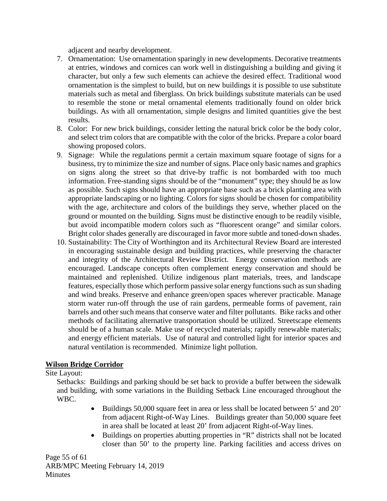adjacent and nearby development.

- 7. Ornamentation: Use ornamentation sparingly in new developments. Decorative treatments at entries, windows and cornices can work well in distinguishing a building and giving it character, but only a few such elements can achieve the desired effect. Traditional wood ornamentation is the simplest to build, but on new buildings it is possible to use substitute materials such as metal and fiberglass. On brick buildings substitute materials can be used to resemble the stone or metal ornamental elements traditionally found on older brick buildings. As with all ornamentation, simple designs and limited quantities give the best results.
- 8. Color: For new brick buildings, consider letting the natural brick color be the body color, and select trim colors that are compatible with the color of the bricks. Prepare a color board showing proposed colors.
- 9. Signage: While the regulations permit a certain maximum square footage of signs for a business, try to minimize the size and number of signs. Place only basic names and graphics on signs along the street so that drive-by traffic is not bombarded with too much information. Free-standing signs should be of the "monument" type; they should be as low as possible. Such signs should have an appropriate base such as a brick planting area with appropriate landscaping or no lighting. Colors for signs should be chosen for compatibility with the age, architecture and colors of the buildings they serve, whether placed on the ground or mounted on the building. Signs must be distinctive enough to be readily visible, but avoid incompatible modern colors such as "fluorescent orange" and similar colors. Bright color shades generally are discouraged in favor more subtle and toned-down shades.
- 10. Sustainability: The City of Worthington and its Architectural Review Board are interested in encouraging sustainable design and building practices, while preserving the character and integrity of the Architectural Review District. Energy conservation methods are encouraged. Landscape concepts often complement energy conservation and should be maintained and replenished. Utilize indigenous plant materials, trees, and landscape features, especially those which perform passive solar energy functions such as sun shading and wind breaks. Preserve and enhance green/open spaces wherever practicable. Manage storm water run-off through the use of rain gardens, permeable forms of pavement, rain barrels and other such means that conserve water and filter pollutants. Bike racks and other methods of facilitating alternative transportation should be utilized. Streetscape elements should be of a human scale. Make use of recycled materials; rapidly renewable materials; and energy efficient materials. Use of natural and controlled light for interior spaces and natural ventilation is recommended. Minimize light pollution.

## **Wilson Bridge Corridor**

## Site Layout:

Setbacks: Buildings and parking should be set back to provide a buffer between the sidewalk and building, with some variations in the Building Setback Line encouraged throughout the WBC.

- Buildings 50,000 square feet in area or less shall be located between 5' and 20' from adjacent Right-of-Way Lines. Buildings greater than 50,000 square feet in area shall be located at least 20' from adjacent Right-of-Way lines.
- Buildings on properties abutting properties in "R" districts shall not be located closer than 50' to the property line. Parking facilities and access drives on

Page 55 of 61 ARB/MPC Meeting February 14, 2019 **Minutes**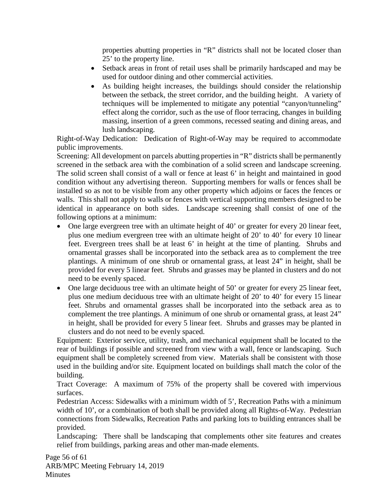properties abutting properties in "R" districts shall not be located closer than 25' to the property line.

- Setback areas in front of retail uses shall be primarily hardscaped and may be used for outdoor dining and other commercial activities.
- As building height increases, the buildings should consider the relationship between the setback, the street corridor, and the building height. A variety of techniques will be implemented to mitigate any potential "canyon/tunneling" effect along the corridor, such as the use of floor terracing, changes in building massing, insertion of a green commons, recessed seating and dining areas, and lush landscaping.

Right-of-Way Dedication: Dedication of Right-of-Way may be required to accommodate public improvements.

Screening: All development on parcels abutting properties in "R" districts shall be permanently screened in the setback area with the combination of a solid screen and landscape screening. The solid screen shall consist of a wall or fence at least 6' in height and maintained in good condition without any advertising thereon. Supporting members for walls or fences shall be installed so as not to be visible from any other property which adjoins or faces the fences or walls. This shall not apply to walls or fences with vertical supporting members designed to be identical in appearance on both sides. Landscape screening shall consist of one of the following options at a minimum:

- One large evergreen tree with an ultimate height of 40' or greater for every 20 linear feet, plus one medium evergreen tree with an ultimate height of 20' to 40' for every 10 linear feet. Evergreen trees shall be at least 6' in height at the time of planting. Shrubs and ornamental grasses shall be incorporated into the setback area as to complement the tree plantings. A minimum of one shrub or ornamental grass, at least 24" in height, shall be provided for every 5 linear feet. Shrubs and grasses may be planted in clusters and do not need to be evenly spaced.
- One large deciduous tree with an ultimate height of 50' or greater for every 25 linear feet, plus one medium deciduous tree with an ultimate height of 20' to 40' for every 15 linear feet. Shrubs and ornamental grasses shall be incorporated into the setback area as to complement the tree plantings. A minimum of one shrub or ornamental grass, at least 24" in height, shall be provided for every 5 linear feet. Shrubs and grasses may be planted in clusters and do not need to be evenly spaced.

Equipment: Exterior service, utility, trash, and mechanical equipment shall be located to the rear of buildings if possible and screened from view with a wall, fence or landscaping. Such equipment shall be completely screened from view. Materials shall be consistent with those used in the building and/or site. Equipment located on buildings shall match the color of the building.

Tract Coverage: A maximum of 75% of the property shall be covered with impervious surfaces.

Pedestrian Access: Sidewalks with a minimum width of 5', Recreation Paths with a minimum width of 10', or a combination of both shall be provided along all Rights-of-Way. Pedestrian connections from Sidewalks, Recreation Paths and parking lots to building entrances shall be provided.

Landscaping: There shall be landscaping that complements other site features and creates relief from buildings, parking areas and other man-made elements.

Page 56 of 61 ARB/MPC Meeting February 14, 2019 **Minutes**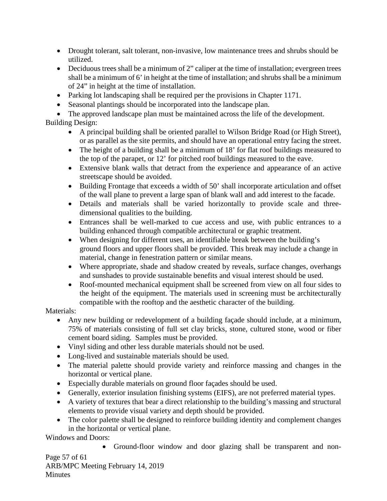- Drought tolerant, salt tolerant, non-invasive, low maintenance trees and shrubs should be utilized.
- Deciduous trees shall be a minimum of 2" caliper at the time of installation; evergreen trees shall be a minimum of 6' in height at the time of installation; and shrubs shall be a minimum of 24" in height at the time of installation.
- Parking lot landscaping shall be required per the provisions in Chapter 1171.
- Seasonal plantings should be incorporated into the landscape plan.

• The approved landscape plan must be maintained across the life of the development. Building Design:

- A principal building shall be oriented parallel to Wilson Bridge Road (or High Street), or as parallel as the site permits, and should have an operational entry facing the street.
- The height of a building shall be a minimum of 18' for flat roof buildings measured to the top of the parapet, or 12' for pitched roof buildings measured to the eave.
- Extensive blank walls that detract from the experience and appearance of an active streetscape should be avoided.
- Building Frontage that exceeds a width of 50' shall incorporate articulation and offset of the wall plane to prevent a large span of blank wall and add interest to the facade.
- Details and materials shall be varied horizontally to provide scale and threedimensional qualities to the building.
- Entrances shall be well-marked to cue access and use, with public entrances to a building enhanced through compatible architectural or graphic treatment.
- When designing for different uses, an identifiable break between the building's ground floors and upper floors shall be provided. This break may include a change in material, change in fenestration pattern or similar means.
- Where appropriate, shade and shadow created by reveals, surface changes, overhangs and sunshades to provide sustainable benefits and visual interest should be used.
- Roof-mounted mechanical equipment shall be screened from view on all four sides to the height of the equipment. The materials used in screening must be architecturally compatible with the rooftop and the aesthetic character of the building.

# Materials:

- Any new building or redevelopment of a building façade should include, at a minimum, 75% of materials consisting of full set clay bricks, stone, cultured stone, wood or fiber cement board siding. Samples must be provided.
- Vinyl siding and other less durable materials should not be used.
- Long-lived and sustainable materials should be used.
- The material palette should provide variety and reinforce massing and changes in the horizontal or vertical plane.
- Especially durable materials on ground floor façades should be used.
- Generally, exterior insulation finishing systems (EIFS), are not preferred material types.
- A variety of textures that bear a direct relationship to the building's massing and structural elements to provide visual variety and depth should be provided.
- The color palette shall be designed to reinforce building identity and complement changes in the horizontal or vertical plane.

Windows and Doors:

• Ground-floor window and door glazing shall be transparent and non-

Page 57 of 61 ARB/MPC Meeting February 14, 2019 **Minutes**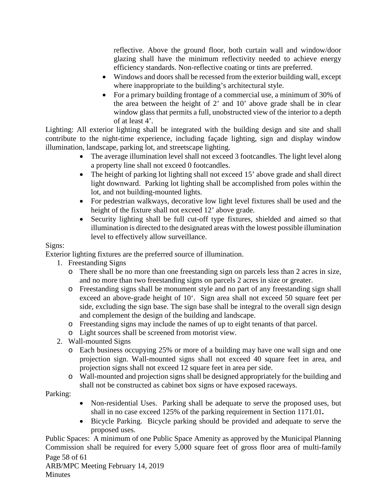reflective. Above the ground floor, both curtain wall and window/door glazing shall have the minimum reflectivity needed to achieve energy efficiency standards. Non-reflective coating or tints are preferred.

- Windows and doors shall be recessed from the exterior building wall, except where inappropriate to the building's architectural style.
- For a primary building frontage of a commercial use, a minimum of 30% of the area between the height of 2' and 10' above grade shall be in clear window glass that permits a full, unobstructed view of the interior to a depth of at least 4'.

Lighting: All exterior lighting shall be integrated with the building design and site and shall contribute to the night-time experience, including façade lighting, sign and display window illumination, landscape, parking lot, and streetscape lighting.

- The average illumination level shall not exceed 3 footcandles. The light level along a property line shall not exceed 0 footcandles.
- The height of parking lot lighting shall not exceed 15' above grade and shall direct light downward. Parking lot lighting shall be accomplished from poles within the lot, and not building-mounted lights.
- For pedestrian walkways, decorative low light level fixtures shall be used and the height of the fixture shall not exceed 12' above grade.
- Security lighting shall be full cut-off type fixtures, shielded and aimed so that illumination is directed to the designated areas with the lowest possible illumination level to effectively allow surveillance.

# Signs:

Exterior lighting fixtures are the preferred source of illumination.

- 1. Freestanding Signs
	- o There shall be no more than one freestanding sign on parcels less than 2 acres in size, and no more than two freestanding signs on parcels 2 acres in size or greater.
	- o Freestanding signs shall be monument style and no part of any freestanding sign shall exceed an above-grade height of 10'. Sign area shall not exceed 50 square feet per side, excluding the sign base. The sign base shall be integral to the overall sign design and complement the design of the building and landscape.
	- o Freestanding signs may include the names of up to eight tenants of that parcel.
	- o Light sources shall be screened from motorist view.
- 2. Wall-mounted Signs
	- o Each business occupying 25% or more of a building may have one wall sign and one projection sign. Wall-mounted signs shall not exceed 40 square feet in area, and projection signs shall not exceed 12 square feet in area per side.
	- o Wall-mounted and projection signs shall be designed appropriately for the building and shall not be constructed as cabinet box signs or have exposed raceways.

Parking:

- Non-residential Uses. Parking shall be adequate to serve the proposed uses, but shall in no case exceed 125% of the parking requirement in Section 1171.01**.**
- Bicycle Parking. Bicycle parking should be provided and adequate to serve the proposed uses.

Page 58 of 61 Public Spaces: A minimum of one Public Space Amenity as approved by the Municipal Planning Commission shall be required for every 5,000 square feet of gross floor area of multi-family

ARB/MPC Meeting February 14, 2019 **Minutes**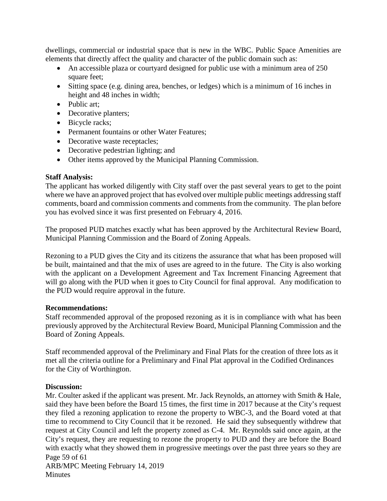dwellings, commercial or industrial space that is new in the WBC. Public Space Amenities are elements that directly affect the quality and character of the public domain such as:

- An accessible plaza or courtyard designed for public use with a minimum area of 250 square feet;
- Sitting space (e.g. dining area, benches, or ledges) which is a minimum of 16 inches in height and 48 inches in width;
- Public art;
- Decorative planters;
- Bicycle racks;
- Permanent fountains or other Water Features;
- Decorative waste receptacles;
- Decorative pedestrian lighting; and
- Other items approved by the Municipal Planning Commission.

### **Staff Analysis:**

The applicant has worked diligently with City staff over the past several years to get to the point where we have an approved project that has evolved over multiple public meetings addressing staff comments, board and commission comments and comments from the community. The plan before you has evolved since it was first presented on February 4, 2016.

The proposed PUD matches exactly what has been approved by the Architectural Review Board, Municipal Planning Commission and the Board of Zoning Appeals.

Rezoning to a PUD gives the City and its citizens the assurance that what has been proposed will be built, maintained and that the mix of uses are agreed to in the future. The City is also working with the applicant on a Development Agreement and Tax Increment Financing Agreement that will go along with the PUD when it goes to City Council for final approval. Any modification to the PUD would require approval in the future.

#### **Recommendations:**

Staff recommended approval of the proposed rezoning as it is in compliance with what has been previously approved by the Architectural Review Board, Municipal Planning Commission and the Board of Zoning Appeals.

Staff recommended approval of the Preliminary and Final Plats for the creation of three lots as it met all the criteria outline for a Preliminary and Final Plat approval in the Codified Ordinances for the City of Worthington.

## **Discussion:**

Page 59 of 61 ARB/MPC Meeting February 14, 2019 Mr. Coulter asked if the applicant was present. Mr. Jack Reynolds, an attorney with Smith & Hale, said they have been before the Board 15 times, the first time in 2017 because at the City's request they filed a rezoning application to rezone the property to WBC-3, and the Board voted at that time to recommend to City Council that it be rezoned. He said they subsequently withdrew that request at City Council and left the property zoned as C-4. Mr. Reynolds said once again, at the City's request, they are requesting to rezone the property to PUD and they are before the Board with exactly what they showed them in progressive meetings over the past three years so they are

**Minutes**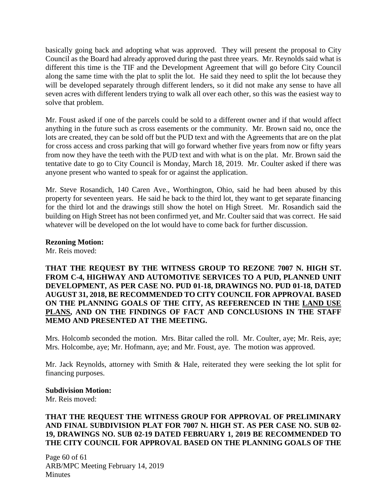basically going back and adopting what was approved. They will present the proposal to City Council as the Board had already approved during the past three years. Mr. Reynolds said what is different this time is the TIF and the Development Agreement that will go before City Council along the same time with the plat to split the lot. He said they need to split the lot because they will be developed separately through different lenders, so it did not make any sense to have all seven acres with different lenders trying to walk all over each other, so this was the easiest way to solve that problem.

Mr. Foust asked if one of the parcels could be sold to a different owner and if that would affect anything in the future such as cross easements or the community. Mr. Brown said no, once the lots are created, they can be sold off but the PUD text and with the Agreements that are on the plat for cross access and cross parking that will go forward whether five years from now or fifty years from now they have the teeth with the PUD text and with what is on the plat. Mr. Brown said the tentative date to go to City Council is Monday, March 18, 2019. Mr. Coulter asked if there was anyone present who wanted to speak for or against the application.

Mr. Steve Rosandich, 140 Caren Ave., Worthington, Ohio, said he had been abused by this property for seventeen years. He said he back to the third lot, they want to get separate financing for the third lot and the drawings still show the hotel on High Street. Mr. Rosandich said the building on High Street has not been confirmed yet, and Mr. Coulter said that was correct. He said whatever will be developed on the lot would have to come back for further discussion.

**Rezoning Motion:**

Mr. Reis moved:

**THAT THE REQUEST BY THE WITNESS GROUP TO REZONE 7007 N. HIGH ST. FROM C-4, HIGHWAY AND AUTOMOTIVE SERVICES TO A PUD, PLANNED UNIT DEVELOPMENT, AS PER CASE NO. PUD 01-18, DRAWINGS NO. PUD 01-18, DATED AUGUST 31, 2018, BE RECOMMENDED TO CITY COUNCIL FOR APPROVAL BASED ON THE PLANNING GOALS OF THE CITY, AS REFERENCED IN THE LAND USE PLANS, AND ON THE FINDINGS OF FACT AND CONCLUSIONS IN THE STAFF MEMO AND PRESENTED AT THE MEETING.**

Mrs. Holcomb seconded the motion. Mrs. Bitar called the roll. Mr. Coulter, aye; Mr. Reis, aye; Mrs. Holcombe, aye; Mr. Hofmann, aye; and Mr. Foust, aye. The motion was approved.

Mr. Jack Reynolds, attorney with Smith & Hale, reiterated they were seeking the lot split for financing purposes.

#### **Subdivision Motion:**

Mr. Reis moved:

### **THAT THE REQUEST THE WITNESS GROUP FOR APPROVAL OF PRELIMINARY AND FINAL SUBDIVISION PLAT FOR 7007 N. HIGH ST. AS PER CASE NO. SUB 02- 19, DRAWINGS NO. SUB 02-19 DATED FEBRUARY 1, 2019 BE RECOMMENDED TO THE CITY COUNCIL FOR APPROVAL BASED ON THE PLANNING GOALS OF THE**

Page 60 of 61 ARB/MPC Meeting February 14, 2019 **Minutes**